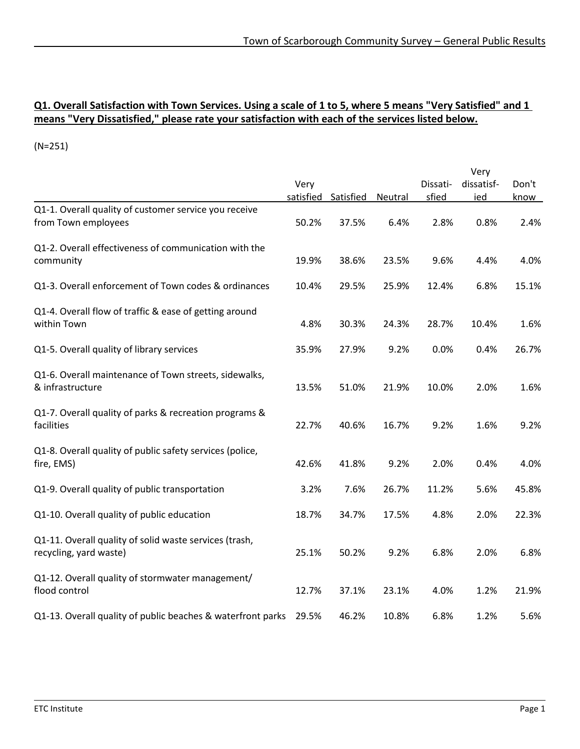#### **Q1. Overall Satisfaction with Town Services. Using a scale of 1 to 5, where 5 means "Very Satisfied" and 1 means "Very Dissatisfied," please rate your satisfaction with each of the services listed below.**

|                                                                                  |       |                     |                |          | Very       |       |
|----------------------------------------------------------------------------------|-------|---------------------|----------------|----------|------------|-------|
|                                                                                  | Very  |                     |                | Dissati- | dissatisf- | Don't |
|                                                                                  |       | satisfied Satisfied | <b>Neutral</b> | sfied    | ied        | know  |
| Q1-1. Overall quality of customer service you receive<br>from Town employees     | 50.2% | 37.5%               | 6.4%           | 2.8%     | 0.8%       | 2.4%  |
| Q1-2. Overall effectiveness of communication with the<br>community               | 19.9% | 38.6%               | 23.5%          | 9.6%     | 4.4%       | 4.0%  |
| Q1-3. Overall enforcement of Town codes & ordinances                             | 10.4% | 29.5%               | 25.9%          | 12.4%    | 6.8%       | 15.1% |
| Q1-4. Overall flow of traffic & ease of getting around<br>within Town            | 4.8%  | 30.3%               | 24.3%          | 28.7%    | 10.4%      | 1.6%  |
| Q1-5. Overall quality of library services                                        | 35.9% | 27.9%               | 9.2%           | 0.0%     | 0.4%       | 26.7% |
| Q1-6. Overall maintenance of Town streets, sidewalks,<br>& infrastructure        | 13.5% | 51.0%               | 21.9%          | 10.0%    | 2.0%       | 1.6%  |
| Q1-7. Overall quality of parks & recreation programs &<br>facilities             | 22.7% | 40.6%               | 16.7%          | 9.2%     | 1.6%       | 9.2%  |
| Q1-8. Overall quality of public safety services (police,<br>fire, EMS)           | 42.6% | 41.8%               | 9.2%           | 2.0%     | 0.4%       | 4.0%  |
| Q1-9. Overall quality of public transportation                                   | 3.2%  | 7.6%                | 26.7%          | 11.2%    | 5.6%       | 45.8% |
| Q1-10. Overall quality of public education                                       | 18.7% | 34.7%               | 17.5%          | 4.8%     | 2.0%       | 22.3% |
| Q1-11. Overall quality of solid waste services (trash,<br>recycling, yard waste) | 25.1% | 50.2%               | 9.2%           | 6.8%     | 2.0%       | 6.8%  |
| Q1-12. Overall quality of stormwater management/<br>flood control                | 12.7% | 37.1%               | 23.1%          | 4.0%     | 1.2%       | 21.9% |
| Q1-13. Overall quality of public beaches & waterfront parks                      | 29.5% | 46.2%               | 10.8%          | 6.8%     | 1.2%       | 5.6%  |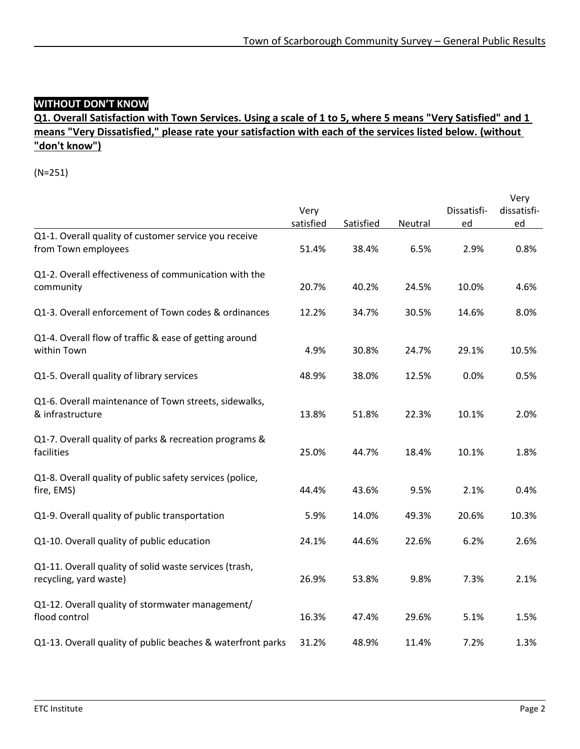## **WITHOUT DON'T KNOW**

#### **Q1. Overall Satisfaction with Town Services. Using a scale of 1 to 5, where 5 means "Very Satisfied" and 1 means "Very Dissatisfied," please rate your satisfaction with each of the services listed below. (without "don't know")**

|                                                                                  |           |           |         |             | Very        |
|----------------------------------------------------------------------------------|-----------|-----------|---------|-------------|-------------|
|                                                                                  | Very      |           |         | Dissatisfi- | dissatisfi- |
|                                                                                  | satisfied | Satisfied | Neutral | ed          | ed          |
| Q1-1. Overall quality of customer service you receive<br>from Town employees     | 51.4%     | 38.4%     | 6.5%    | 2.9%        | 0.8%        |
| Q1-2. Overall effectiveness of communication with the<br>community               | 20.7%     | 40.2%     | 24.5%   | 10.0%       | 4.6%        |
| Q1-3. Overall enforcement of Town codes & ordinances                             | 12.2%     | 34.7%     | 30.5%   | 14.6%       | 8.0%        |
| Q1-4. Overall flow of traffic & ease of getting around<br>within Town            | 4.9%      | 30.8%     | 24.7%   | 29.1%       | 10.5%       |
| Q1-5. Overall quality of library services                                        | 48.9%     | 38.0%     | 12.5%   | 0.0%        | 0.5%        |
| Q1-6. Overall maintenance of Town streets, sidewalks,<br>& infrastructure        | 13.8%     | 51.8%     | 22.3%   | 10.1%       | 2.0%        |
| Q1-7. Overall quality of parks & recreation programs &<br>facilities             | 25.0%     | 44.7%     | 18.4%   | 10.1%       | 1.8%        |
| Q1-8. Overall quality of public safety services (police,<br>fire, EMS)           | 44.4%     | 43.6%     | 9.5%    | 2.1%        | 0.4%        |
| Q1-9. Overall quality of public transportation                                   | 5.9%      | 14.0%     | 49.3%   | 20.6%       | 10.3%       |
| Q1-10. Overall quality of public education                                       | 24.1%     | 44.6%     | 22.6%   | 6.2%        | 2.6%        |
| Q1-11. Overall quality of solid waste services (trash,<br>recycling, yard waste) | 26.9%     | 53.8%     | 9.8%    | 7.3%        | 2.1%        |
| Q1-12. Overall quality of stormwater management/<br>flood control                | 16.3%     | 47.4%     | 29.6%   | 5.1%        | 1.5%        |
| Q1-13. Overall quality of public beaches & waterfront parks                      | 31.2%     | 48.9%     | 11.4%   | 7.2%        | 1.3%        |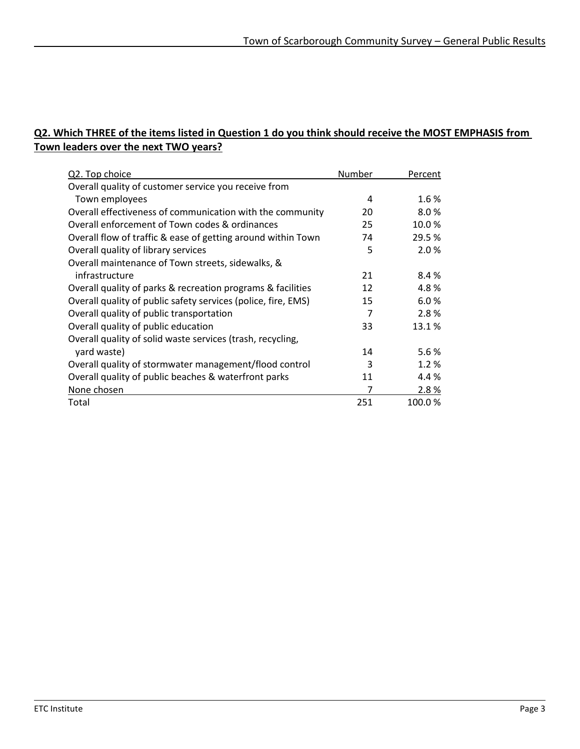### **Q2. Which THREE of the items listed in Question 1 do you think should receive the MOST EMPHASIS from Town leaders over the next TWO years?**

| Q2. Top choice                                                | Number         | Percent |
|---------------------------------------------------------------|----------------|---------|
| Overall quality of customer service you receive from          |                |         |
| Town employees                                                | 4              | 1.6%    |
| Overall effectiveness of communication with the community     | 20             | 8.0%    |
| Overall enforcement of Town codes & ordinances                | 25             | 10.0%   |
| Overall flow of traffic & ease of getting around within Town  | 74             | 29.5 %  |
| Overall quality of library services                           | 5              | 2.0%    |
| Overall maintenance of Town streets, sidewalks, &             |                |         |
| infrastructure                                                | 21             | 8.4%    |
| Overall quality of parks & recreation programs & facilities   | 12             | 4.8%    |
| Overall quality of public safety services (police, fire, EMS) | 15             | 6.0%    |
| Overall quality of public transportation                      | $\overline{7}$ | 2.8%    |
| Overall quality of public education                           | 33             | 13.1%   |
| Overall quality of solid waste services (trash, recycling,    |                |         |
| yard waste)                                                   | 14             | 5.6%    |
| Overall quality of stormwater management/flood control        | 3              | 1.2%    |
| Overall quality of public beaches & waterfront parks          | 11             | 4.4 %   |
| None chosen                                                   | 7              | 2.8%    |
| Total                                                         | 251            | 100.0%  |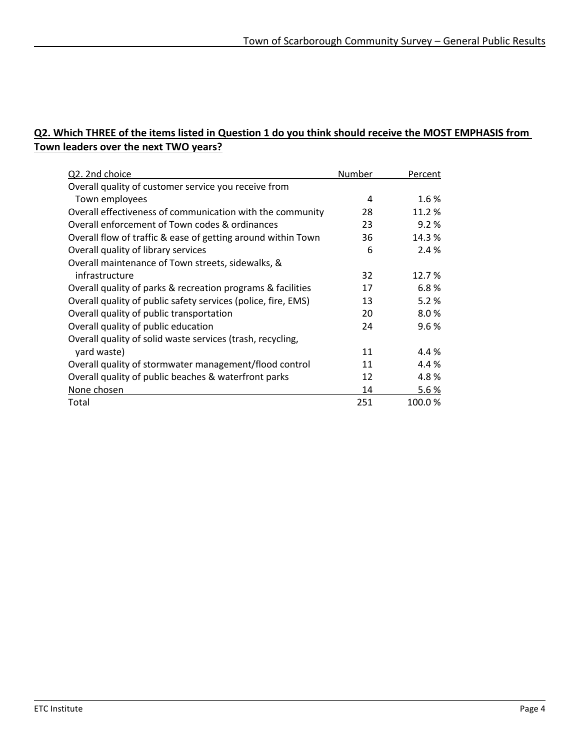#### **Q2. Which THREE of the items listed in Question 1 do you think should receive the MOST EMPHASIS from Town leaders over the next TWO years?**

| Q2. 2nd choice                                                | Number | Percent |
|---------------------------------------------------------------|--------|---------|
| Overall quality of customer service you receive from          |        |         |
| Town employees                                                | 4      | 1.6%    |
| Overall effectiveness of communication with the community     | 28     | 11.2 %  |
| Overall enforcement of Town codes & ordinances                | 23     | 9.2%    |
| Overall flow of traffic & ease of getting around within Town  | 36     | 14.3 %  |
| Overall quality of library services                           | 6      | 2.4 %   |
| Overall maintenance of Town streets, sidewalks, &             |        |         |
| infrastructure                                                | 32     | 12.7%   |
| Overall quality of parks & recreation programs & facilities   | 17     | 6.8%    |
| Overall quality of public safety services (police, fire, EMS) | 13     | 5.2%    |
| Overall quality of public transportation                      | 20     | 8.0%    |
| Overall quality of public education                           | 24     | 9.6%    |
| Overall quality of solid waste services (trash, recycling,    |        |         |
| yard waste)                                                   | 11     | 4.4 %   |
| Overall quality of stormwater management/flood control        | 11     | 4.4 %   |
| Overall quality of public beaches & waterfront parks          | 12     | 4.8%    |
| None chosen                                                   | 14     | 5.6%    |
| Total                                                         | 251    | 100.0%  |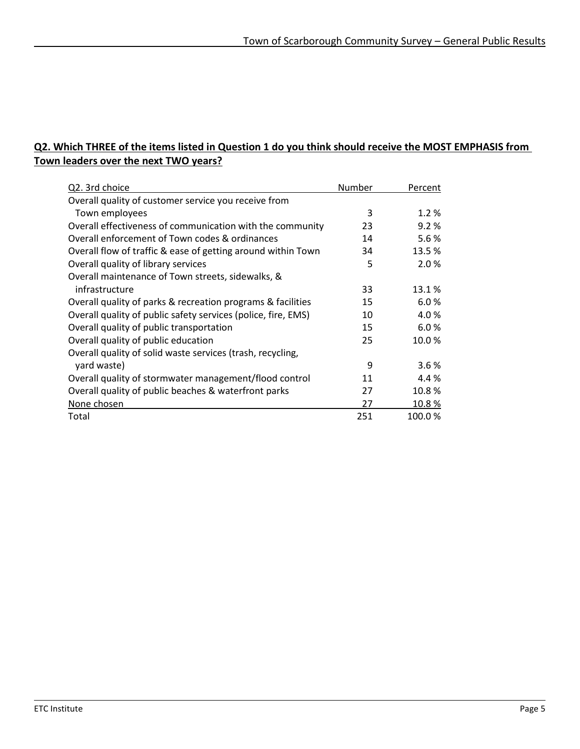#### **Q2. Which THREE of the items listed in Question 1 do you think should receive the MOST EMPHASIS from Town leaders over the next TWO years?**

| Q2. 3rd choice                                                | Number | Percent |
|---------------------------------------------------------------|--------|---------|
| Overall quality of customer service you receive from          |        |         |
| Town employees                                                | 3      | 1.2%    |
| Overall effectiveness of communication with the community     | 23     | 9.2%    |
| Overall enforcement of Town codes & ordinances                | 14     | 5.6%    |
| Overall flow of traffic & ease of getting around within Town  | 34     | 13.5 %  |
| Overall quality of library services                           | 5      | 2.0%    |
| Overall maintenance of Town streets, sidewalks, &             |        |         |
| infrastructure                                                | 33     | 13.1%   |
| Overall quality of parks & recreation programs & facilities   | 15     | 6.0%    |
| Overall quality of public safety services (police, fire, EMS) | 10     | 4.0%    |
| Overall quality of public transportation                      | 15     | 6.0%    |
| Overall quality of public education                           | 25     | 10.0%   |
| Overall quality of solid waste services (trash, recycling,    |        |         |
| yard waste)                                                   | 9      | 3.6%    |
| Overall quality of stormwater management/flood control        | 11     | 4.4 %   |
| Overall quality of public beaches & waterfront parks          | 27     | 10.8%   |
| None chosen                                                   | 27     | 10.8%   |
| Total                                                         | 251    | 100.0%  |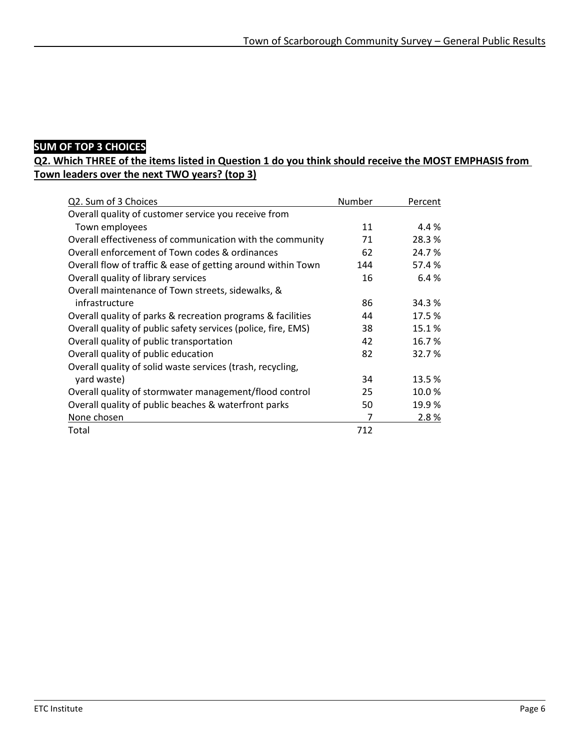### **SUM OF TOP 3 CHOICES**

#### **Q2. Which THREE of the items listed in Question 1 do you think should receive the MOST EMPHASIS from Town leaders over the next TWO years? (top 3)**

| Q2. Sum of 3 Choices                                          | Number | Percent |
|---------------------------------------------------------------|--------|---------|
| Overall quality of customer service you receive from          |        |         |
| Town employees                                                | 11     | 4.4 %   |
| Overall effectiveness of communication with the community     | 71     | 28.3%   |
| Overall enforcement of Town codes & ordinances                | 62     | 24.7%   |
| Overall flow of traffic & ease of getting around within Town  | 144    | 57.4 %  |
| Overall quality of library services                           | 16     | 6.4%    |
| Overall maintenance of Town streets, sidewalks, &             |        |         |
| infrastructure                                                | 86     | 34.3%   |
| Overall quality of parks & recreation programs & facilities   | 44     | 17.5 %  |
| Overall quality of public safety services (police, fire, EMS) | 38     | 15.1%   |
| Overall quality of public transportation                      | 42     | 16.7%   |
| Overall quality of public education                           | 82     | 32.7%   |
| Overall quality of solid waste services (trash, recycling,    |        |         |
| yard waste)                                                   | 34     | 13.5%   |
| Overall quality of stormwater management/flood control        | 25     | 10.0%   |
| Overall quality of public beaches & waterfront parks          | 50     | 19.9%   |
| None chosen                                                   | 7      | 2.8%    |
| Total                                                         | 712    |         |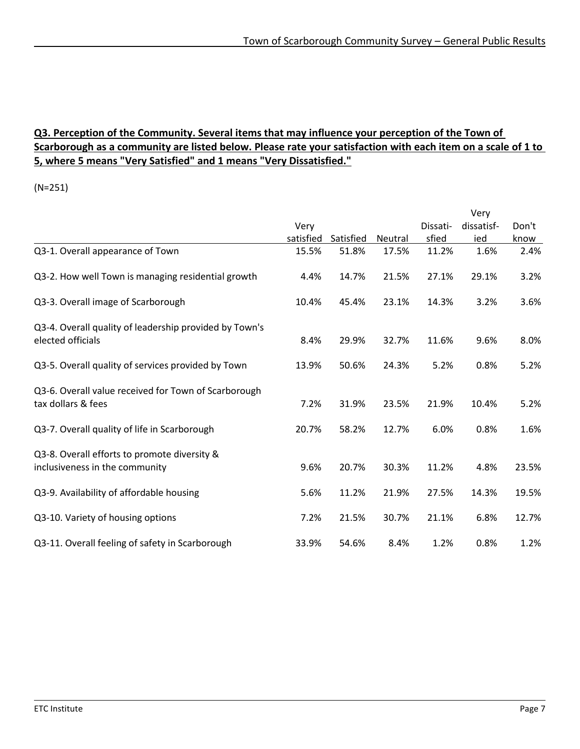#### **Q3. Perception of the Community. Several items that may influence your perception of the Town of Scarborough as a community are listed below. Please rate your satisfaction with each item on a scale of 1 to 5, where 5 means "Very Satisfied" and 1 means "Very Dissatisfied."**

|                                                        |           |           |         |          | Very       |       |
|--------------------------------------------------------|-----------|-----------|---------|----------|------------|-------|
|                                                        | Very      |           |         | Dissati- | dissatisf- | Don't |
|                                                        | satisfied | Satisfied | Neutral | sfied    | ied        | know  |
| Q3-1. Overall appearance of Town                       | 15.5%     | 51.8%     | 17.5%   | 11.2%    | 1.6%       | 2.4%  |
| Q3-2. How well Town is managing residential growth     | 4.4%      | 14.7%     | 21.5%   | 27.1%    | 29.1%      | 3.2%  |
| Q3-3. Overall image of Scarborough                     | 10.4%     | 45.4%     | 23.1%   | 14.3%    | 3.2%       | 3.6%  |
| Q3-4. Overall quality of leadership provided by Town's |           |           |         |          |            |       |
| elected officials                                      | 8.4%      | 29.9%     | 32.7%   | 11.6%    | 9.6%       | 8.0%  |
| Q3-5. Overall quality of services provided by Town     | 13.9%     | 50.6%     | 24.3%   | 5.2%     | 0.8%       | 5.2%  |
| Q3-6. Overall value received for Town of Scarborough   |           |           |         |          |            |       |
| tax dollars & fees                                     | 7.2%      | 31.9%     | 23.5%   | 21.9%    | 10.4%      | 5.2%  |
| Q3-7. Overall quality of life in Scarborough           | 20.7%     | 58.2%     | 12.7%   | 6.0%     | 0.8%       | 1.6%  |
| Q3-8. Overall efforts to promote diversity &           |           |           |         |          |            |       |
| inclusiveness in the community                         | 9.6%      | 20.7%     | 30.3%   | 11.2%    | 4.8%       | 23.5% |
| Q3-9. Availability of affordable housing               | 5.6%      | 11.2%     | 21.9%   | 27.5%    | 14.3%      | 19.5% |
| Q3-10. Variety of housing options                      | 7.2%      | 21.5%     | 30.7%   | 21.1%    | 6.8%       | 12.7% |
| Q3-11. Overall feeling of safety in Scarborough        | 33.9%     | 54.6%     | 8.4%    | 1.2%     | 0.8%       | 1.2%  |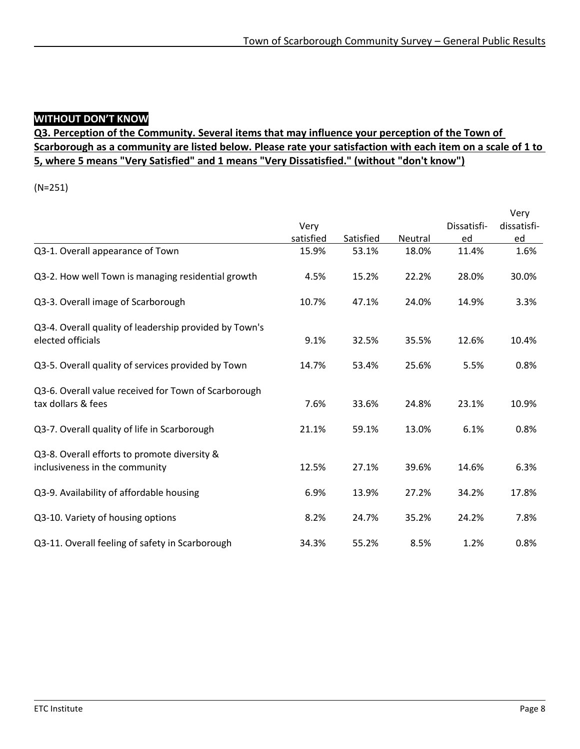#### **WITHOUT DON'T KNOW**

#### **Q3. Perception of the Community. Several items that may influence your perception of the Town of Scarborough as a community are listed below. Please rate your satisfaction with each item on a scale of 1 to 5, where 5 means "Very Satisfied" and 1 means "Very Dissatisfied." (without "don't know")**

|                                                        |           |           |                |             | Very        |
|--------------------------------------------------------|-----------|-----------|----------------|-------------|-------------|
|                                                        | Very      |           |                | Dissatisfi- | dissatisfi- |
|                                                        | satisfied | Satisfied | <b>Neutral</b> | ed          | <u>ed</u>   |
| Q3-1. Overall appearance of Town                       | 15.9%     | 53.1%     | 18.0%          | 11.4%       | 1.6%        |
| Q3-2. How well Town is managing residential growth     | 4.5%      | 15.2%     | 22.2%          | 28.0%       | 30.0%       |
| Q3-3. Overall image of Scarborough                     | 10.7%     | 47.1%     | 24.0%          | 14.9%       | 3.3%        |
| Q3-4. Overall quality of leadership provided by Town's |           |           |                |             |             |
| elected officials                                      | 9.1%      | 32.5%     | 35.5%          | 12.6%       | 10.4%       |
| Q3-5. Overall quality of services provided by Town     | 14.7%     | 53.4%     | 25.6%          | 5.5%        | 0.8%        |
| Q3-6. Overall value received for Town of Scarborough   |           |           |                |             |             |
| tax dollars & fees                                     | 7.6%      | 33.6%     | 24.8%          | 23.1%       | 10.9%       |
| Q3-7. Overall quality of life in Scarborough           | 21.1%     | 59.1%     | 13.0%          | 6.1%        | 0.8%        |
| Q3-8. Overall efforts to promote diversity &           |           |           |                |             |             |
| inclusiveness in the community                         | 12.5%     | 27.1%     | 39.6%          | 14.6%       | 6.3%        |
| Q3-9. Availability of affordable housing               | 6.9%      | 13.9%     | 27.2%          | 34.2%       | 17.8%       |
| Q3-10. Variety of housing options                      | 8.2%      | 24.7%     | 35.2%          | 24.2%       | 7.8%        |
| Q3-11. Overall feeling of safety in Scarborough        | 34.3%     | 55.2%     | 8.5%           | 1.2%        | 0.8%        |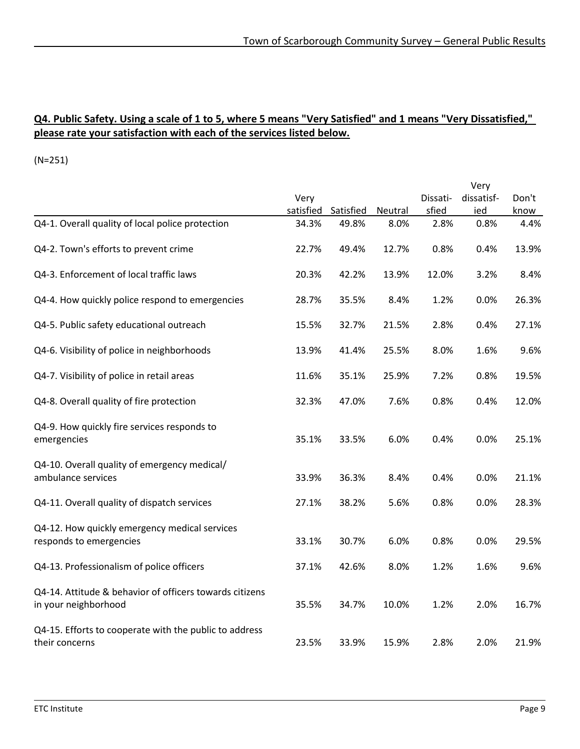#### **Q4. Public Safety. Using a scale of 1 to 5, where 5 means "Very Satisfied" and 1 means "Very Dissatisfied," please rate your satisfaction with each of the services listed below.**

|                                                                                 |           |           |         |          | Very       |       |
|---------------------------------------------------------------------------------|-----------|-----------|---------|----------|------------|-------|
|                                                                                 | Very      |           |         | Dissati- | dissatisf- | Don't |
|                                                                                 | satisfied | Satisfied | Neutral | sfied    | ied        | know  |
| Q4-1. Overall quality of local police protection                                | 34.3%     | 49.8%     | 8.0%    | 2.8%     | 0.8%       | 4.4%  |
| Q4-2. Town's efforts to prevent crime                                           | 22.7%     | 49.4%     | 12.7%   | 0.8%     | 0.4%       | 13.9% |
| Q4-3. Enforcement of local traffic laws                                         | 20.3%     | 42.2%     | 13.9%   | 12.0%    | 3.2%       | 8.4%  |
| Q4-4. How quickly police respond to emergencies                                 | 28.7%     | 35.5%     | 8.4%    | 1.2%     | 0.0%       | 26.3% |
| Q4-5. Public safety educational outreach                                        | 15.5%     | 32.7%     | 21.5%   | 2.8%     | 0.4%       | 27.1% |
| Q4-6. Visibility of police in neighborhoods                                     | 13.9%     | 41.4%     | 25.5%   | 8.0%     | 1.6%       | 9.6%  |
| Q4-7. Visibility of police in retail areas                                      | 11.6%     | 35.1%     | 25.9%   | 7.2%     | 0.8%       | 19.5% |
| Q4-8. Overall quality of fire protection                                        | 32.3%     | 47.0%     | 7.6%    | 0.8%     | 0.4%       | 12.0% |
| Q4-9. How quickly fire services responds to<br>emergencies                      | 35.1%     | 33.5%     | 6.0%    | 0.4%     | 0.0%       | 25.1% |
| Q4-10. Overall quality of emergency medical/<br>ambulance services              | 33.9%     | 36.3%     | 8.4%    | 0.4%     | 0.0%       | 21.1% |
| Q4-11. Overall quality of dispatch services                                     | 27.1%     | 38.2%     | 5.6%    | 0.8%     | 0.0%       | 28.3% |
| Q4-12. How quickly emergency medical services<br>responds to emergencies        | 33.1%     | 30.7%     | 6.0%    | 0.8%     | 0.0%       | 29.5% |
| Q4-13. Professionalism of police officers                                       | 37.1%     | 42.6%     | 8.0%    | 1.2%     | 1.6%       | 9.6%  |
| Q4-14. Attitude & behavior of officers towards citizens<br>in your neighborhood | 35.5%     | 34.7%     | 10.0%   | 1.2%     | 2.0%       | 16.7% |
| Q4-15. Efforts to cooperate with the public to address<br>their concerns        | 23.5%     | 33.9%     | 15.9%   | 2.8%     | 2.0%       | 21.9% |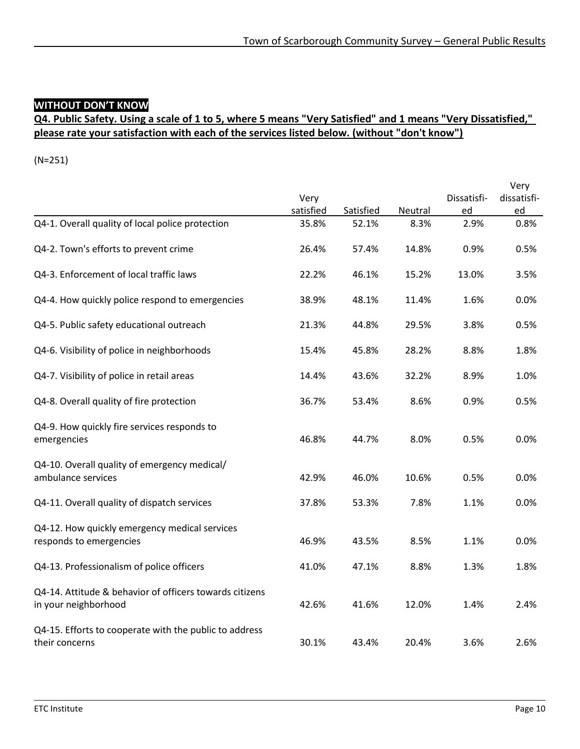### **WITHOUT DON'T KNOW**

#### **Q4. Public Safety. Using a scale of 1 to 5, where 5 means "Very Satisfied" and 1 means "Very Dissatisfied," please rate your satisfaction with each of the services listed below. (without "don't know")**

|                                                                                 | Very      |           |         | Dissatisfi- | Very<br>dissatisfi- |
|---------------------------------------------------------------------------------|-----------|-----------|---------|-------------|---------------------|
|                                                                                 | satisfied | Satisfied | Neutral | ed          | ed                  |
| Q4-1. Overall quality of local police protection                                | 35.8%     | 52.1%     | 8.3%    | 2.9%        | 0.8%                |
| Q4-2. Town's efforts to prevent crime                                           | 26.4%     | 57.4%     | 14.8%   | 0.9%        | 0.5%                |
| Q4-3. Enforcement of local traffic laws                                         | 22.2%     | 46.1%     | 15.2%   | 13.0%       | 3.5%                |
| Q4-4. How quickly police respond to emergencies                                 | 38.9%     | 48.1%     | 11.4%   | 1.6%        | 0.0%                |
| Q4-5. Public safety educational outreach                                        | 21.3%     | 44.8%     | 29.5%   | 3.8%        | 0.5%                |
| Q4-6. Visibility of police in neighborhoods                                     | 15.4%     | 45.8%     | 28.2%   | 8.8%        | 1.8%                |
| Q4-7. Visibility of police in retail areas                                      | 14.4%     | 43.6%     | 32.2%   | 8.9%        | 1.0%                |
| Q4-8. Overall quality of fire protection                                        | 36.7%     | 53.4%     | 8.6%    | 0.9%        | 0.5%                |
| Q4-9. How quickly fire services responds to<br>emergencies                      | 46.8%     | 44.7%     | 8.0%    | 0.5%        | 0.0%                |
| Q4-10. Overall quality of emergency medical/<br>ambulance services              | 42.9%     | 46.0%     | 10.6%   | 0.5%        | 0.0%                |
| Q4-11. Overall quality of dispatch services                                     | 37.8%     | 53.3%     | 7.8%    | 1.1%        | 0.0%                |
| Q4-12. How quickly emergency medical services<br>responds to emergencies        | 46.9%     | 43.5%     | 8.5%    | 1.1%        | 0.0%                |
| Q4-13. Professionalism of police officers                                       | 41.0%     | 47.1%     | 8.8%    | 1.3%        | 1.8%                |
| Q4-14. Attitude & behavior of officers towards citizens<br>in your neighborhood | 42.6%     | 41.6%     | 12.0%   | 1.4%        | 2.4%                |
| Q4-15. Efforts to cooperate with the public to address<br>their concerns        | 30.1%     | 43.4%     | 20.4%   | 3.6%        | 2.6%                |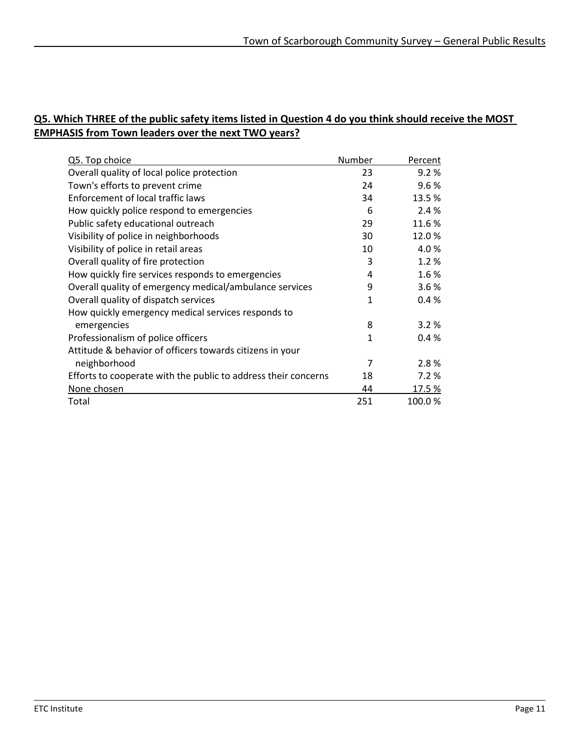#### **Q5. Which THREE of the public safety items listed in Question 4 do you think should receive the MOST EMPHASIS from Town leaders over the next TWO years?**

| Q5. Top choice                                                 | Number       | Percent |
|----------------------------------------------------------------|--------------|---------|
| Overall quality of local police protection                     | 23           | 9.2%    |
| Town's efforts to prevent crime                                | 24           | 9.6%    |
| Enforcement of local traffic laws                              | 34           | 13.5%   |
| How quickly police respond to emergencies                      | 6            | 2.4 %   |
| Public safety educational outreach                             | 29           | 11.6%   |
| Visibility of police in neighborhoods                          | 30           | 12.0%   |
| Visibility of police in retail areas                           | 10           | 4.0%    |
| Overall quality of fire protection                             | 3            | 1.2%    |
| How quickly fire services responds to emergencies              | 4            | 1.6%    |
| Overall quality of emergency medical/ambulance services        | 9            | 3.6%    |
| Overall quality of dispatch services                           | 1            | 0.4%    |
| How quickly emergency medical services responds to             |              |         |
| emergencies                                                    | 8            | 3.2%    |
| Professionalism of police officers                             | $\mathbf{1}$ | 0.4%    |
| Attitude & behavior of officers towards citizens in your       |              |         |
| neighborhood                                                   | 7            | 2.8%    |
| Efforts to cooperate with the public to address their concerns | 18           | 7.2 %   |
| None chosen                                                    | 44           | 17.5 %  |
| Total                                                          | 251          | 100.0%  |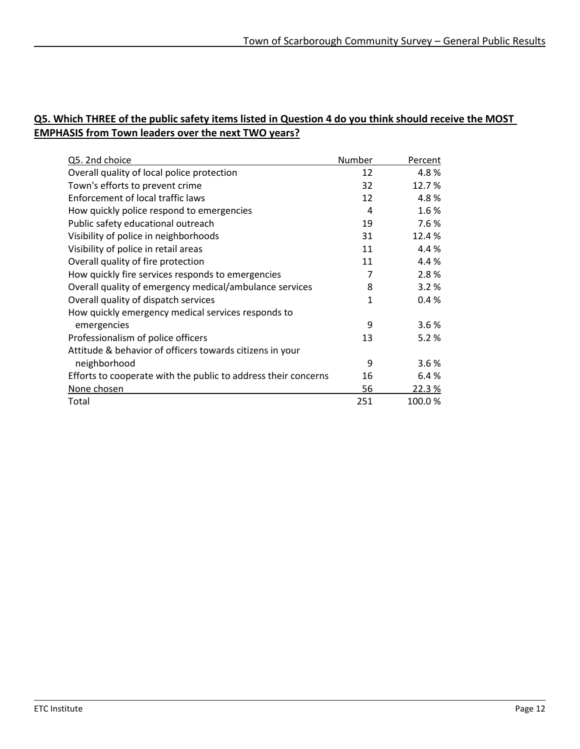#### **Q5. Which THREE of the public safety items listed in Question 4 do you think should receive the MOST EMPHASIS from Town leaders over the next TWO years?**

| Q5. 2nd choice                                                 | Number | Percent |
|----------------------------------------------------------------|--------|---------|
| Overall quality of local police protection                     | 12     | 4.8%    |
| Town's efforts to prevent crime                                | 32     | 12.7%   |
| Enforcement of local traffic laws                              | 12     | 4.8%    |
| How quickly police respond to emergencies                      | 4      | 1.6%    |
| Public safety educational outreach                             | 19     | 7.6%    |
| Visibility of police in neighborhoods                          | 31     | 12.4%   |
| Visibility of police in retail areas                           | 11     | 4.4%    |
| Overall quality of fire protection                             | 11     | 4.4%    |
| How quickly fire services responds to emergencies              | 7      | 2.8%    |
| Overall quality of emergency medical/ambulance services        | 8      | 3.2%    |
| Overall quality of dispatch services                           | 1      | 0.4%    |
| How quickly emergency medical services responds to             |        |         |
| emergencies                                                    | 9      | 3.6%    |
| Professionalism of police officers                             | 13     | 5.2%    |
| Attitude & behavior of officers towards citizens in your       |        |         |
| neighborhood                                                   | 9      | 3.6%    |
| Efforts to cooperate with the public to address their concerns | 16     | 6.4%    |
| None chosen                                                    | 56     | 22.3%   |
| Total                                                          | 251    | 100.0%  |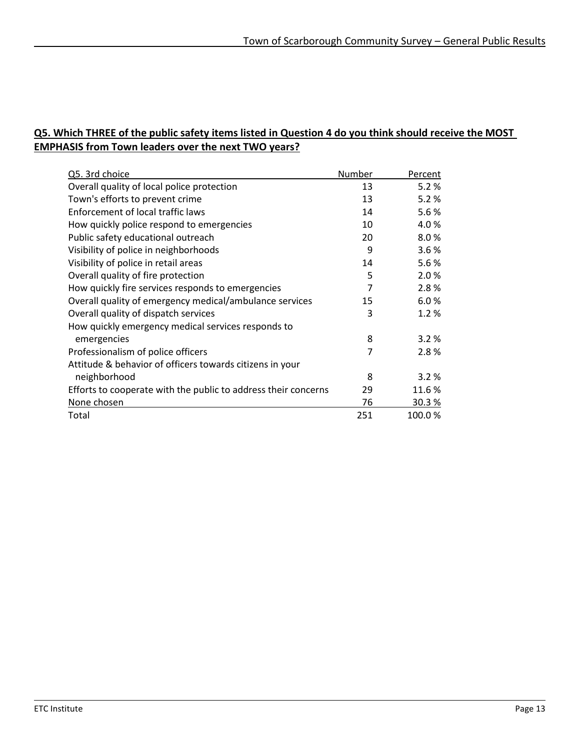#### **Q5. Which THREE of the public safety items listed in Question 4 do you think should receive the MOST EMPHASIS from Town leaders over the next TWO years?**

| Q5. 3rd choice                                                 | Number | Percent |
|----------------------------------------------------------------|--------|---------|
| Overall quality of local police protection                     | 13     | 5.2%    |
| Town's efforts to prevent crime                                | 13     | 5.2%    |
| Enforcement of local traffic laws                              | 14     | 5.6%    |
| How quickly police respond to emergencies                      | 10     | 4.0%    |
| Public safety educational outreach                             | 20     | 8.0%    |
| Visibility of police in neighborhoods                          | 9      | 3.6%    |
| Visibility of police in retail areas                           | 14     | 5.6%    |
| Overall quality of fire protection                             | 5      | 2.0%    |
| How quickly fire services responds to emergencies              | 7      | 2.8%    |
| Overall quality of emergency medical/ambulance services        | 15     | 6.0%    |
| Overall quality of dispatch services                           | 3      | 1.2%    |
| How quickly emergency medical services responds to             |        |         |
| emergencies                                                    | 8      | 3.2%    |
| Professionalism of police officers                             | 7      | 2.8%    |
| Attitude & behavior of officers towards citizens in your       |        |         |
| neighborhood                                                   | 8      | 3.2%    |
| Efforts to cooperate with the public to address their concerns | 29     | 11.6%   |
| None chosen                                                    | 76     | 30.3%   |
| Total                                                          | 251    | 100.0%  |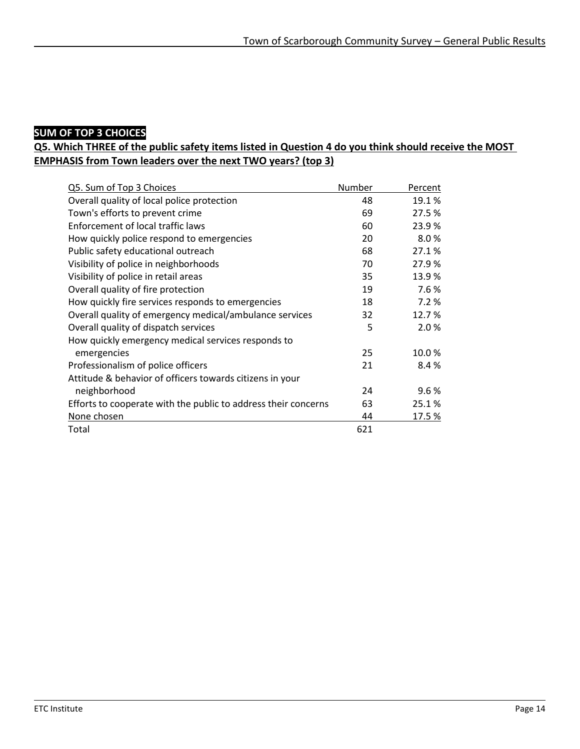### **SUM OF TOP 3 CHOICES**

#### **Q5. Which THREE of the public safety items listed in Question 4 do you think should receive the MOST EMPHASIS from Town leaders over the next TWO years? (top 3)**

| Q5. Sum of Top 3 Choices                                       | Number | Percent |
|----------------------------------------------------------------|--------|---------|
| Overall quality of local police protection                     | 48     | 19.1 %  |
| Town's efforts to prevent crime                                | 69     | 27.5 %  |
| Enforcement of local traffic laws                              | 60     | 23.9%   |
| How quickly police respond to emergencies                      | 20     | 8.0%    |
| Public safety educational outreach                             | 68     | 27.1%   |
| Visibility of police in neighborhoods                          | 70     | 27.9%   |
| Visibility of police in retail areas                           | 35     | 13.9%   |
| Overall quality of fire protection                             | 19     | 7.6%    |
| How quickly fire services responds to emergencies              | 18     | 7.2%    |
| Overall quality of emergency medical/ambulance services        | 32     | 12.7%   |
| Overall quality of dispatch services                           | 5      | 2.0%    |
| How quickly emergency medical services responds to             |        |         |
| emergencies                                                    | 25     | 10.0%   |
| Professionalism of police officers                             | 21     | 8.4 %   |
| Attitude & behavior of officers towards citizens in your       |        |         |
| neighborhood                                                   | 24     | 9.6%    |
| Efforts to cooperate with the public to address their concerns | 63     | 25.1%   |
| None chosen                                                    | 44     | 17.5%   |
| Total                                                          | 621    |         |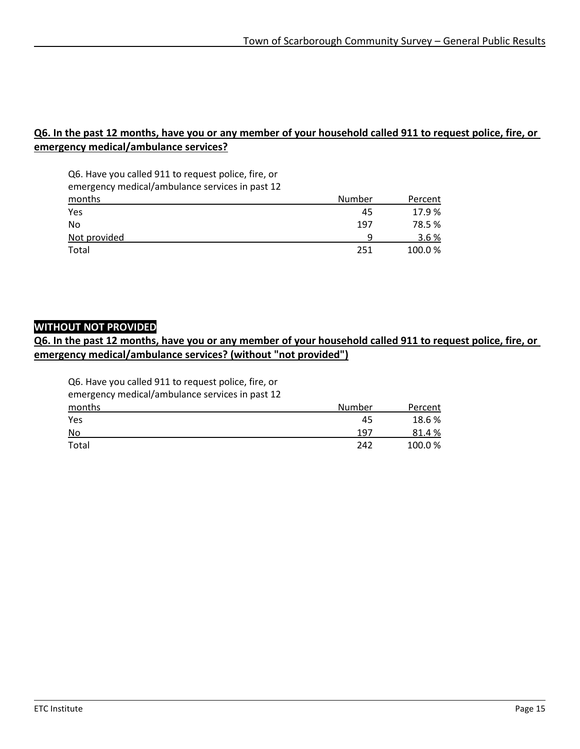#### **Q6. In the past 12 months, have you or any member of your household called 911 to request police, fire, or emergency medical/ambulance services?**

Q6. Have you called 911 to request police, fire, or emergency medical/ambulance services in past 12

| months       | Number | Percent |
|--------------|--------|---------|
| Yes          | 45     | 17.9%   |
| No           | 197    | 78.5 %  |
| Not provided | a      | 3.6%    |
| Total        | 251    | 100.0%  |

#### **WITHOUT NOT PROVIDED**

#### **Q6. In the past 12 months, have you or any member of your household called 911 to request police, fire, or emergency medical/ambulance services? (without "not provided")**

Q6. Have you called 911 to request police, fire, or

emergency medical/ambulance services in past 12

| <u>months</u> | Number | Percent |
|---------------|--------|---------|
| Yes           | 45     | 18.6%   |
| No            | 197    | 81.4%   |
| Total         | 242    | 100.0%  |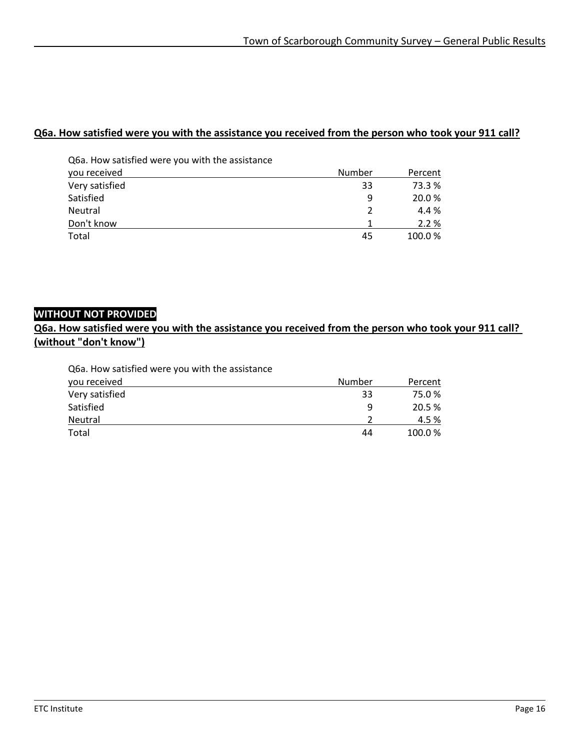#### **Q6a. How satisfied were you with the assistance you received from the person who took your 911 call?**

| Q6a. How satisfied were you with the assistance |        |         |
|-------------------------------------------------|--------|---------|
| you received                                    | Number | Percent |
| Very satisfied                                  | 33     | 73.3 %  |
| Satisfied                                       | 9      | 20.0%   |
| Neutral                                         | 2      | 4.4%    |
| Don't know                                      |        | 2.2%    |
| Total                                           | 45     | 100.0%  |

### **WITHOUT NOT PROVIDED**

**Q6a. How satisfied were you with the assistance you received from the person who took your 911 call? (without "don't know")**

| Q6a. How satisfied were you with the assistance |        |         |
|-------------------------------------------------|--------|---------|
| you received                                    | Number | Percent |
| Very satisfied                                  | 33     | 75.0%   |
| Satisfied                                       | 9      | 20.5 %  |
| Neutral                                         |        | 4.5%    |
| Total                                           | 44     | 100.0%  |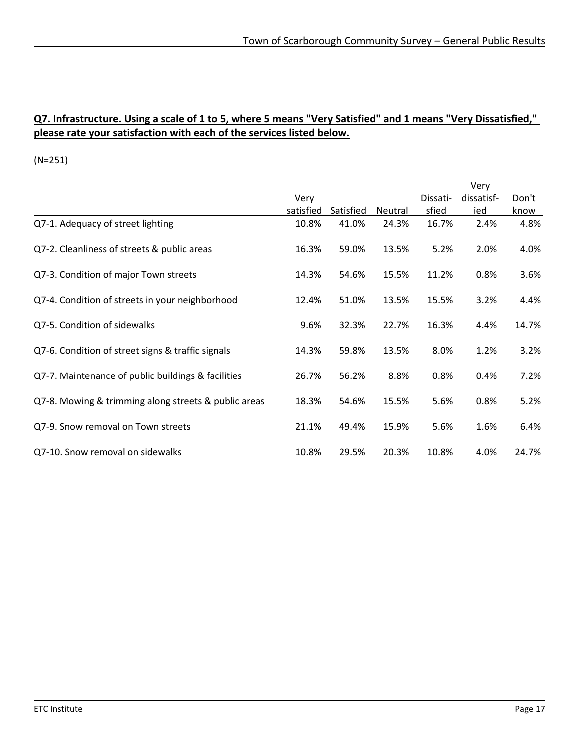#### **Q7. Infrastructure. Using a scale of 1 to 5, where 5 means "Very Satisfied" and 1 means "Very Dissatisfied," please rate your satisfaction with each of the services listed below.**

|                                                      |           |           |         |          | Very       |       |
|------------------------------------------------------|-----------|-----------|---------|----------|------------|-------|
|                                                      | Very      |           |         | Dissati- | dissatisf- | Don't |
|                                                      | satisfied | Satisfied | Neutral | sfied    | ied        | know  |
| Q7-1. Adequacy of street lighting                    | 10.8%     | 41.0%     | 24.3%   | 16.7%    | 2.4%       | 4.8%  |
| Q7-2. Cleanliness of streets & public areas          | 16.3%     | 59.0%     | 13.5%   | 5.2%     | 2.0%       | 4.0%  |
| Q7-3. Condition of major Town streets                | 14.3%     | 54.6%     | 15.5%   | 11.2%    | 0.8%       | 3.6%  |
| Q7-4. Condition of streets in your neighborhood      | 12.4%     | 51.0%     | 13.5%   | 15.5%    | 3.2%       | 4.4%  |
| Q7-5. Condition of sidewalks                         | 9.6%      | 32.3%     | 22.7%   | 16.3%    | 4.4%       | 14.7% |
| Q7-6. Condition of street signs & traffic signals    | 14.3%     | 59.8%     | 13.5%   | 8.0%     | 1.2%       | 3.2%  |
| Q7-7. Maintenance of public buildings & facilities   | 26.7%     | 56.2%     | 8.8%    | 0.8%     | 0.4%       | 7.2%  |
| Q7-8. Mowing & trimming along streets & public areas | 18.3%     | 54.6%     | 15.5%   | 5.6%     | 0.8%       | 5.2%  |
| Q7-9. Snow removal on Town streets                   | 21.1%     | 49.4%     | 15.9%   | 5.6%     | 1.6%       | 6.4%  |
| Q7-10. Snow removal on sidewalks                     | 10.8%     | 29.5%     | 20.3%   | 10.8%    | 4.0%       | 24.7% |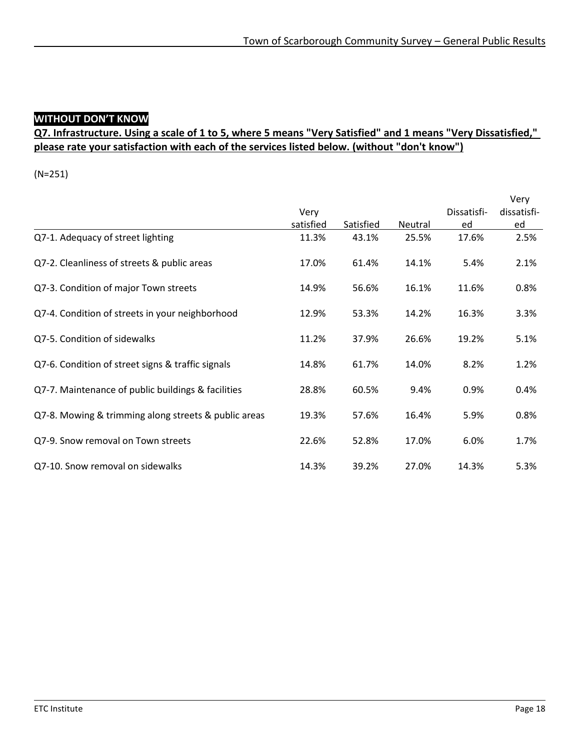# **WITHOUT DON'T KNOW**

### **Q7. Infrastructure. Using a scale of 1 to 5, where 5 means "Very Satisfied" and 1 means "Very Dissatisfied," please rate your satisfaction with each of the services listed below. (without "don't know")**

|                                                      |           |           |         |             | Very        |
|------------------------------------------------------|-----------|-----------|---------|-------------|-------------|
|                                                      | Very      |           |         | Dissatisfi- | dissatisfi- |
|                                                      | satisfied | Satisfied | Neutral | ed          | ed          |
| Q7-1. Adequacy of street lighting                    | 11.3%     | 43.1%     | 25.5%   | 17.6%       | 2.5%        |
| Q7-2. Cleanliness of streets & public areas          | 17.0%     | 61.4%     | 14.1%   | 5.4%        | 2.1%        |
| Q7-3. Condition of major Town streets                | 14.9%     | 56.6%     | 16.1%   | 11.6%       | 0.8%        |
| Q7-4. Condition of streets in your neighborhood      | 12.9%     | 53.3%     | 14.2%   | 16.3%       | 3.3%        |
| Q7-5. Condition of sidewalks                         | 11.2%     | 37.9%     | 26.6%   | 19.2%       | 5.1%        |
| Q7-6. Condition of street signs & traffic signals    | 14.8%     | 61.7%     | 14.0%   | 8.2%        | 1.2%        |
| Q7-7. Maintenance of public buildings & facilities   | 28.8%     | 60.5%     | 9.4%    | 0.9%        | 0.4%        |
| Q7-8. Mowing & trimming along streets & public areas | 19.3%     | 57.6%     | 16.4%   | 5.9%        | 0.8%        |
| Q7-9. Snow removal on Town streets                   | 22.6%     | 52.8%     | 17.0%   | 6.0%        | 1.7%        |
| Q7-10. Snow removal on sidewalks                     | 14.3%     | 39.2%     | 27.0%   | 14.3%       | 5.3%        |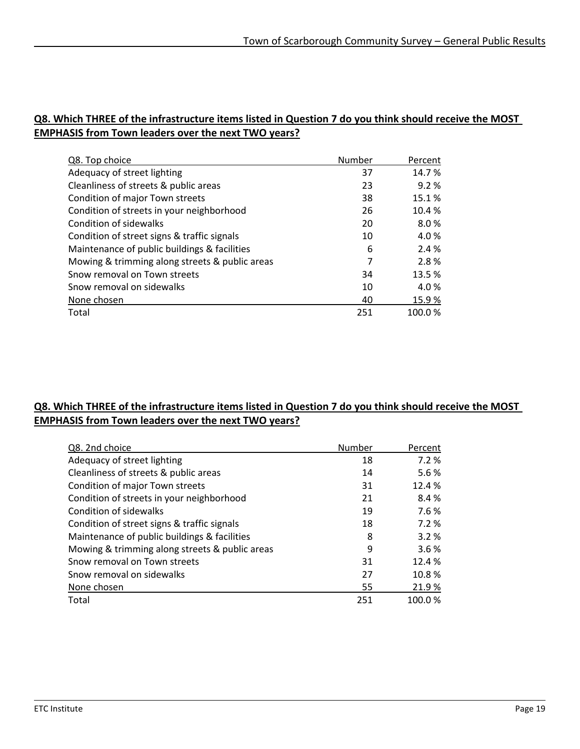#### **Q8. Which THREE of the infrastructure items listed in Question 7 do you think should receive the MOST EMPHASIS from Town leaders over the next TWO years?**

| Q8. Top choice                                 | Number | Percent |
|------------------------------------------------|--------|---------|
| Adequacy of street lighting                    | 37     | 14.7%   |
| Cleanliness of streets & public areas          | 23     | 9.2%    |
| Condition of major Town streets                | 38     | 15.1%   |
| Condition of streets in your neighborhood      | 26     | 10.4%   |
| Condition of sidewalks                         | 20     | 8.0%    |
| Condition of street signs & traffic signals    | 10     | 4.0%    |
| Maintenance of public buildings & facilities   | 6      | 2.4 %   |
| Mowing & trimming along streets & public areas | 7      | 2.8%    |
| Snow removal on Town streets                   | 34     | 13.5%   |
| Snow removal on sidewalks                      | 10     | 4.0%    |
| None chosen                                    | 40     | 15.9%   |
| Total                                          | 251    | 100.0%  |

#### **Q8. Which THREE of the infrastructure items listed in Question 7 do you think should receive the MOST EMPHASIS from Town leaders over the next TWO years?**

| Q8. 2nd choice                                 | Number | Percent |
|------------------------------------------------|--------|---------|
| Adequacy of street lighting                    | 18     | 7.2%    |
| Cleanliness of streets & public areas          | 14     | 5.6%    |
| Condition of major Town streets                | 31     | 12.4 %  |
| Condition of streets in your neighborhood      | 21     | 8.4%    |
| <b>Condition of sidewalks</b>                  | 19     | 7.6%    |
| Condition of street signs & traffic signals    | 18     | 7.2%    |
| Maintenance of public buildings & facilities   | 8      | 3.2%    |
| Mowing & trimming along streets & public areas | 9      | 3.6%    |
| Snow removal on Town streets                   | 31     | 12.4 %  |
| Snow removal on sidewalks                      | 27     | 10.8%   |
| None chosen                                    | 55     | 21.9%   |
| Total                                          | 251    | 100.0%  |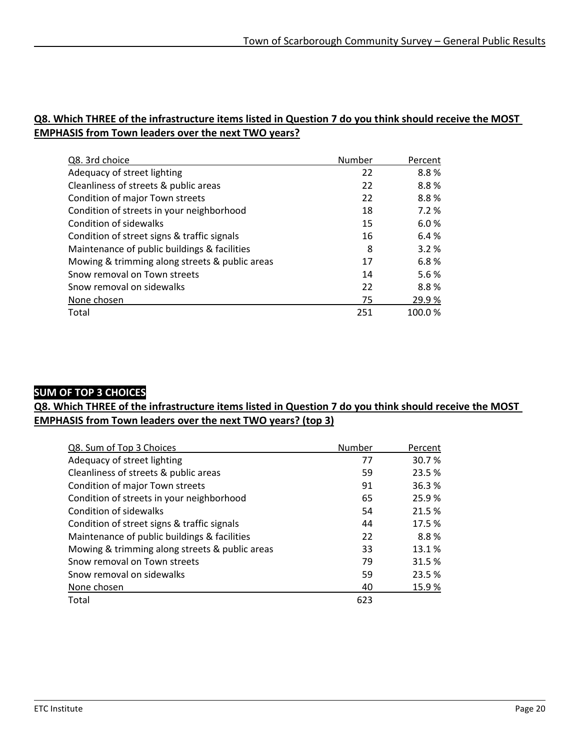#### **Q8. Which THREE of the infrastructure items listed in Question 7 do you think should receive the MOST EMPHASIS from Town leaders over the next TWO years?**

| Q8. 3rd choice                                 | Number | Percent |
|------------------------------------------------|--------|---------|
| Adequacy of street lighting                    | 22     | 8.8%    |
| Cleanliness of streets & public areas          | 22     | 8.8%    |
| Condition of major Town streets                | 22     | 8.8%    |
| Condition of streets in your neighborhood      | 18     | 7.2 %   |
| Condition of sidewalks                         | 15     | 6.0%    |
| Condition of street signs & traffic signals    | 16     | 6.4%    |
| Maintenance of public buildings & facilities   | 8      | 3.2%    |
| Mowing & trimming along streets & public areas | 17     | 6.8%    |
| Snow removal on Town streets                   | 14     | 5.6%    |
| Snow removal on sidewalks                      | 22     | 8.8%    |
| None chosen                                    | 75     | 29.9%   |
| Total                                          | 251    | 100.0%  |

#### **SUM OF TOP 3 CHOICES**

**Q8. Which THREE of the infrastructure items listed in Question 7 do you think should receive the MOST EMPHASIS from Town leaders over the next TWO years? (top 3)**

| Q8. Sum of Top 3 Choices                       | Number | Percent |
|------------------------------------------------|--------|---------|
| Adequacy of street lighting                    | 77     | 30.7%   |
| Cleanliness of streets & public areas          | 59     | 23.5 %  |
| Condition of major Town streets                | 91     | 36.3%   |
| Condition of streets in your neighborhood      | 65     | 25.9%   |
| Condition of sidewalks                         | 54     | 21.5 %  |
| Condition of street signs & traffic signals    | 44     | 17.5 %  |
| Maintenance of public buildings & facilities   | 22     | 8.8%    |
| Mowing & trimming along streets & public areas | 33     | 13.1%   |
| Snow removal on Town streets                   | 79     | 31.5 %  |
| Snow removal on sidewalks                      | 59     | 23.5 %  |
| None chosen                                    | 40     | 15.9%   |
| Total                                          | 623    |         |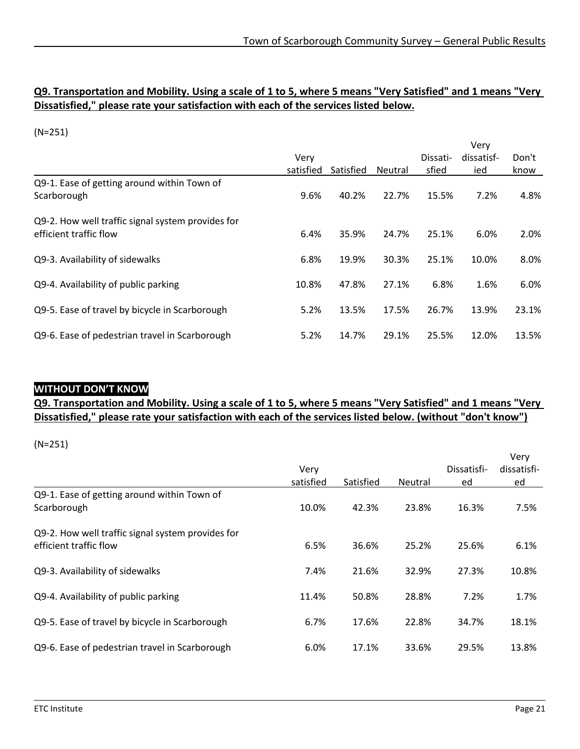#### **Q9. Transportation and Mobility. Using a scale of 1 to 5, where 5 means "Very Satisfied" and 1 means "Very Dissatisfied," please rate your satisfaction with each of the services listed below.**

(N=251)

|                                                                             |           |           |                |          | Very       |       |
|-----------------------------------------------------------------------------|-----------|-----------|----------------|----------|------------|-------|
|                                                                             | Verv      |           |                | Dissati- | dissatisf- | Don't |
|                                                                             | satisfied | Satisfied | <b>Neutral</b> | sfied    | ied        | know  |
| Q9-1. Ease of getting around within Town of<br>Scarborough                  | 9.6%      | 40.2%     | 22.7%          | 15.5%    | 7.2%       | 4.8%  |
|                                                                             |           |           |                |          |            |       |
| Q9-2. How well traffic signal system provides for<br>efficient traffic flow | 6.4%      | 35.9%     | 24.7%          | 25.1%    | 6.0%       | 2.0%  |
| Q9-3. Availability of sidewalks                                             | 6.8%      | 19.9%     | 30.3%          | 25.1%    | 10.0%      | 8.0%  |
| Q9-4. Availability of public parking                                        | 10.8%     | 47.8%     | 27.1%          | 6.8%     | 1.6%       | 6.0%  |
| Q9-5. Ease of travel by bicycle in Scarborough                              | 5.2%      | 13.5%     | 17.5%          | 26.7%    | 13.9%      | 23.1% |
| Q9-6. Ease of pedestrian travel in Scarborough                              | 5.2%      | 14.7%     | 29.1%          | 25.5%    | 12.0%      | 13.5% |

#### **WITHOUT DON'T KNOW**

#### **Q9. Transportation and Mobility. Using a scale of 1 to 5, where 5 means "Very Satisfied" and 1 means "Very Dissatisfied," please rate your satisfaction with each of the services listed below. (without "don't know")**

|                                                   |           |           |         |             | Very        |
|---------------------------------------------------|-----------|-----------|---------|-------------|-------------|
|                                                   | Very      |           |         | Dissatisfi- | dissatisfi- |
|                                                   | satisfied | Satisfied | Neutral | ed          | ed          |
| Q9-1. Ease of getting around within Town of       |           |           |         |             |             |
| Scarborough                                       | 10.0%     | 42.3%     | 23.8%   | 16.3%       | 7.5%        |
| Q9-2. How well traffic signal system provides for |           |           |         |             |             |
| efficient traffic flow                            | 6.5%      | 36.6%     | 25.2%   | 25.6%       | 6.1%        |
| Q9-3. Availability of sidewalks                   | 7.4%      | 21.6%     | 32.9%   | 27.3%       | 10.8%       |
|                                                   |           |           |         |             |             |
| Q9-4. Availability of public parking              | 11.4%     | 50.8%     | 28.8%   | 7.2%        | 1.7%        |
| Q9-5. Ease of travel by bicycle in Scarborough    | 6.7%      | 17.6%     | 22.8%   | 34.7%       | 18.1%       |
|                                                   |           |           |         |             |             |
| Q9-6. Ease of pedestrian travel in Scarborough    | 6.0%      | 17.1%     | 33.6%   | 29.5%       | 13.8%       |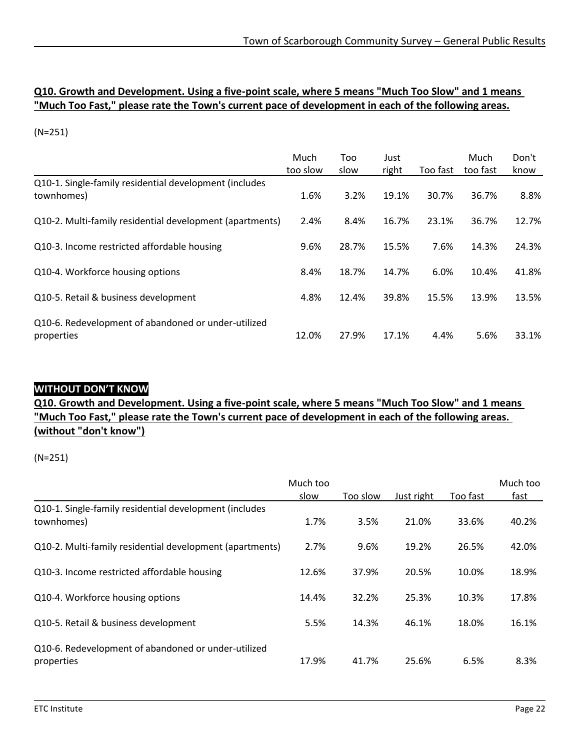#### **Q10. Growth and Development. Using a five-point scale, where 5 means "Much Too Slow" and 1 means "Much Too Fast," please rate the Town's current pace of development in each of the following areas.**

(N=251)

|                                                                      | Much     | Too   | Just  |          | Much     | Don't |
|----------------------------------------------------------------------|----------|-------|-------|----------|----------|-------|
|                                                                      | too slow | slow  | right | Too fast | too fast | know  |
| Q10-1. Single-family residential development (includes<br>townhomes) | 1.6%     | 3.2%  | 19.1% | 30.7%    | 36.7%    | 8.8%  |
| Q10-2. Multi-family residential development (apartments)             | 2.4%     | 8.4%  | 16.7% | 23.1%    | 36.7%    | 12.7% |
| Q10-3. Income restricted affordable housing                          | 9.6%     | 28.7% | 15.5% | 7.6%     | 14.3%    | 24.3% |
| Q10-4. Workforce housing options                                     | 8.4%     | 18.7% | 14.7% | 6.0%     | 10.4%    | 41.8% |
| Q10-5. Retail & business development                                 | 4.8%     | 12.4% | 39.8% | 15.5%    | 13.9%    | 13.5% |
| Q10-6. Redevelopment of abandoned or under-utilized<br>properties    | 12.0%    | 27.9% | 17.1% | 4.4%     | 5.6%     | 33.1% |

#### **WITHOUT DON'T KNOW**

**Q10. Growth and Development. Using a five-point scale, where 5 means "Much Too Slow" and 1 means "Much Too Fast," please rate the Town's current pace of development in each of the following areas. (without "don't know")**

|                                                                      | Much too |          |            |          | Much too |
|----------------------------------------------------------------------|----------|----------|------------|----------|----------|
|                                                                      | slow     | Too slow | Just right | Too fast | fast     |
| Q10-1. Single-family residential development (includes<br>townhomes) | 1.7%     | 3.5%     | 21.0%      | 33.6%    | 40.2%    |
| Q10-2. Multi-family residential development (apartments)             | 2.7%     | 9.6%     | 19.2%      | 26.5%    | 42.0%    |
| Q10-3. Income restricted affordable housing                          | 12.6%    | 37.9%    | 20.5%      | 10.0%    | 18.9%    |
| Q10-4. Workforce housing options                                     | 14.4%    | 32.2%    | 25.3%      | 10.3%    | 17.8%    |
| Q10-5. Retail & business development                                 | 5.5%     | 14.3%    | 46.1%      | 18.0%    | 16.1%    |
| Q10-6. Redevelopment of abandoned or under-utilized<br>properties    | 17.9%    | 41.7%    | 25.6%      | 6.5%     | 8.3%     |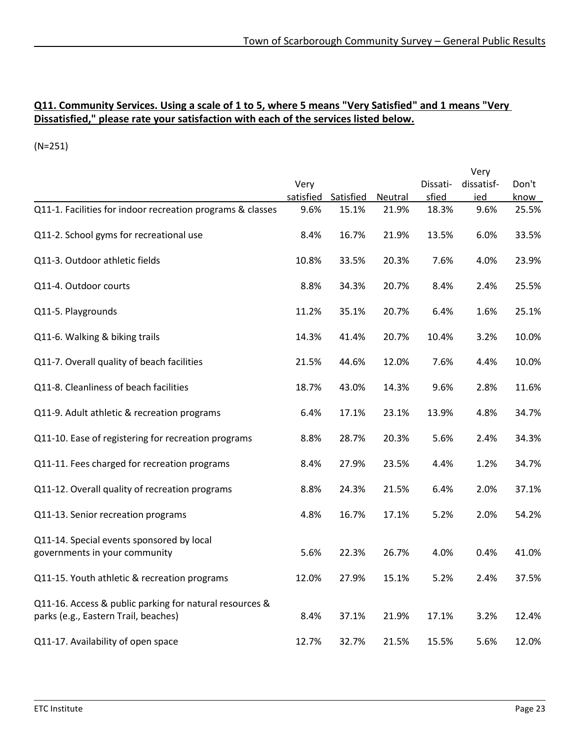#### **Q11. Community Services. Using a scale of 1 to 5, where 5 means "Very Satisfied" and 1 means "Very Dissatisfied," please rate your satisfaction with each of the services listed below.**

|                                                                                                 |           |           |         |          | Very       |       |
|-------------------------------------------------------------------------------------------------|-----------|-----------|---------|----------|------------|-------|
|                                                                                                 | Very      |           |         | Dissati- | dissatisf- | Don't |
|                                                                                                 | satisfied | Satisfied | Neutral | sfied    | ied        | know  |
| Q11-1. Facilities for indoor recreation programs & classes                                      | 9.6%      | 15.1%     | 21.9%   | 18.3%    | 9.6%       | 25.5% |
| Q11-2. School gyms for recreational use                                                         | 8.4%      | 16.7%     | 21.9%   | 13.5%    | 6.0%       | 33.5% |
| Q11-3. Outdoor athletic fields                                                                  | 10.8%     | 33.5%     | 20.3%   | 7.6%     | 4.0%       | 23.9% |
| Q11-4. Outdoor courts                                                                           | 8.8%      | 34.3%     | 20.7%   | 8.4%     | 2.4%       | 25.5% |
| Q11-5. Playgrounds                                                                              | 11.2%     | 35.1%     | 20.7%   | 6.4%     | 1.6%       | 25.1% |
| Q11-6. Walking & biking trails                                                                  | 14.3%     | 41.4%     | 20.7%   | 10.4%    | 3.2%       | 10.0% |
| Q11-7. Overall quality of beach facilities                                                      | 21.5%     | 44.6%     | 12.0%   | 7.6%     | 4.4%       | 10.0% |
| Q11-8. Cleanliness of beach facilities                                                          | 18.7%     | 43.0%     | 14.3%   | 9.6%     | 2.8%       | 11.6% |
| Q11-9. Adult athletic & recreation programs                                                     | 6.4%      | 17.1%     | 23.1%   | 13.9%    | 4.8%       | 34.7% |
| Q11-10. Ease of registering for recreation programs                                             | 8.8%      | 28.7%     | 20.3%   | 5.6%     | 2.4%       | 34.3% |
| Q11-11. Fees charged for recreation programs                                                    | 8.4%      | 27.9%     | 23.5%   | 4.4%     | 1.2%       | 34.7% |
| Q11-12. Overall quality of recreation programs                                                  | 8.8%      | 24.3%     | 21.5%   | 6.4%     | 2.0%       | 37.1% |
| Q11-13. Senior recreation programs                                                              | 4.8%      | 16.7%     | 17.1%   | 5.2%     | 2.0%       | 54.2% |
| Q11-14. Special events sponsored by local<br>governments in your community                      | 5.6%      | 22.3%     | 26.7%   | 4.0%     | 0.4%       | 41.0% |
| Q11-15. Youth athletic & recreation programs                                                    | 12.0%     | 27.9%     | 15.1%   | 5.2%     | 2.4%       | 37.5% |
| Q11-16. Access & public parking for natural resources &<br>parks (e.g., Eastern Trail, beaches) | 8.4%      | 37.1%     | 21.9%   | 17.1%    | 3.2%       | 12.4% |
| Q11-17. Availability of open space                                                              | 12.7%     | 32.7%     | 21.5%   | 15.5%    | 5.6%       | 12.0% |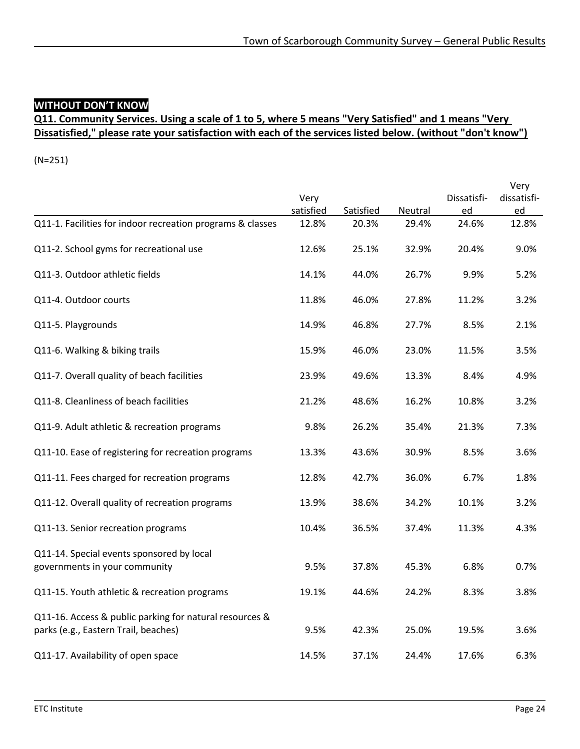### **WITHOUT DON'T KNOW**

### **Q11. Community Services. Using a scale of 1 to 5, where 5 means "Very Satisfied" and 1 means "Very Dissatisfied," please rate your satisfaction with each of the services listed below. (without "don't know")**

|                                                                                                 | Very<br>satisfied | Satisfied | Neutral | Dissatisfi-<br>ed | Very<br>dissatisfi-<br>ed |
|-------------------------------------------------------------------------------------------------|-------------------|-----------|---------|-------------------|---------------------------|
| Q11-1. Facilities for indoor recreation programs & classes                                      | 12.8%             | 20.3%     | 29.4%   | 24.6%             | 12.8%                     |
| Q11-2. School gyms for recreational use                                                         | 12.6%             | 25.1%     | 32.9%   | 20.4%             | 9.0%                      |
| Q11-3. Outdoor athletic fields                                                                  | 14.1%             | 44.0%     | 26.7%   | 9.9%              | 5.2%                      |
| Q11-4. Outdoor courts                                                                           | 11.8%             | 46.0%     | 27.8%   | 11.2%             | 3.2%                      |
| Q11-5. Playgrounds                                                                              | 14.9%             | 46.8%     | 27.7%   | 8.5%              | 2.1%                      |
| Q11-6. Walking & biking trails                                                                  | 15.9%             | 46.0%     | 23.0%   | 11.5%             | 3.5%                      |
| Q11-7. Overall quality of beach facilities                                                      | 23.9%             | 49.6%     | 13.3%   | 8.4%              | 4.9%                      |
| Q11-8. Cleanliness of beach facilities                                                          | 21.2%             | 48.6%     | 16.2%   | 10.8%             | 3.2%                      |
| Q11-9. Adult athletic & recreation programs                                                     | 9.8%              | 26.2%     | 35.4%   | 21.3%             | 7.3%                      |
| Q11-10. Ease of registering for recreation programs                                             | 13.3%             | 43.6%     | 30.9%   | 8.5%              | 3.6%                      |
| Q11-11. Fees charged for recreation programs                                                    | 12.8%             | 42.7%     | 36.0%   | 6.7%              | 1.8%                      |
| Q11-12. Overall quality of recreation programs                                                  | 13.9%             | 38.6%     | 34.2%   | 10.1%             | 3.2%                      |
| Q11-13. Senior recreation programs                                                              | 10.4%             | 36.5%     | 37.4%   | 11.3%             | 4.3%                      |
| Q11-14. Special events sponsored by local<br>governments in your community                      | 9.5%              | 37.8%     | 45.3%   | 6.8%              | 0.7%                      |
| Q11-15. Youth athletic & recreation programs                                                    | 19.1%             | 44.6%     | 24.2%   | 8.3%              | 3.8%                      |
| Q11-16. Access & public parking for natural resources &<br>parks (e.g., Eastern Trail, beaches) | 9.5%              | 42.3%     | 25.0%   | 19.5%             | 3.6%                      |
| Q11-17. Availability of open space                                                              | 14.5%             | 37.1%     | 24.4%   | 17.6%             | 6.3%                      |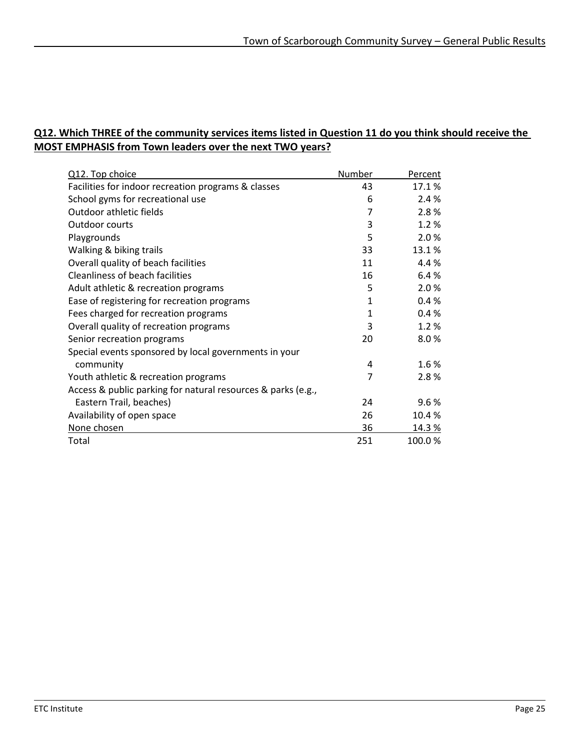#### **Q12. Which THREE of the community services items listed in Question 11 do you think should receive the MOST EMPHASIS from Town leaders over the next TWO years?**

| Q12. Top choice                                              | Number       | Percent |
|--------------------------------------------------------------|--------------|---------|
| Facilities for indoor recreation programs & classes          | 43           | 17.1%   |
| School gyms for recreational use                             | 6            | 2.4 %   |
| Outdoor athletic fields                                      | 7            | 2.8%    |
| Outdoor courts                                               | 3            | 1.2%    |
| Playgrounds                                                  | 5            | 2.0%    |
| Walking & biking trails                                      | 33           | 13.1%   |
| Overall quality of beach facilities                          | 11           | 4.4%    |
| Cleanliness of beach facilities                              | 16           | 6.4%    |
| Adult athletic & recreation programs                         | 5            | 2.0%    |
| Ease of registering for recreation programs                  | 1            | 0.4%    |
| Fees charged for recreation programs                         | $\mathbf{1}$ | 0.4%    |
| Overall quality of recreation programs                       | 3            | 1.2%    |
| Senior recreation programs                                   | 20           | 8.0%    |
| Special events sponsored by local governments in your        |              |         |
| community                                                    | 4            | 1.6%    |
| Youth athletic & recreation programs                         | 7            | 2.8%    |
| Access & public parking for natural resources & parks (e.g., |              |         |
| Eastern Trail, beaches)                                      | 24           | 9.6%    |
| Availability of open space                                   | 26           | 10.4%   |
| None chosen                                                  | 36           | 14.3%   |
| Total                                                        | 251          | 100.0%  |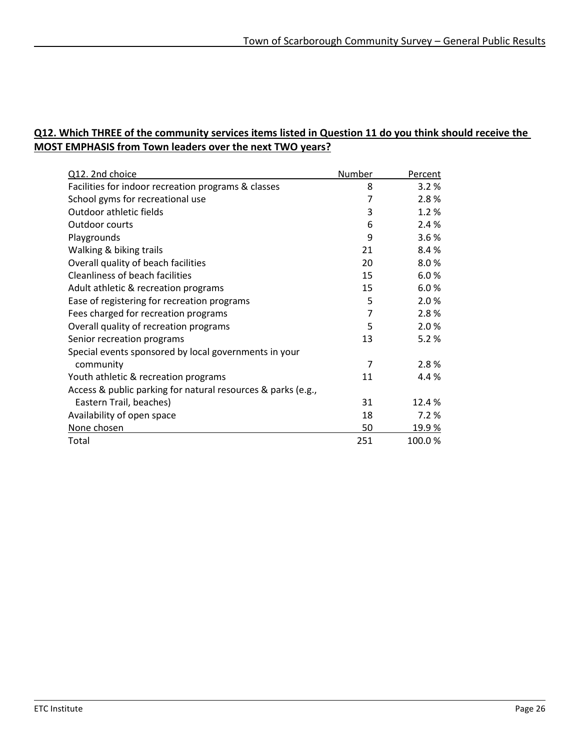#### **Q12. Which THREE of the community services items listed in Question 11 do you think should receive the MOST EMPHASIS from Town leaders over the next TWO years?**

| Q12. 2nd choice                                              | Number | Percent |
|--------------------------------------------------------------|--------|---------|
| Facilities for indoor recreation programs & classes          | 8      | 3.2%    |
| School gyms for recreational use                             | 7      | 2.8%    |
| Outdoor athletic fields                                      | 3      | 1.2%    |
| Outdoor courts                                               | 6      | 2.4 %   |
| Playgrounds                                                  | 9      | 3.6%    |
| Walking & biking trails                                      | 21     | 8.4%    |
| Overall quality of beach facilities                          | 20     | 8.0%    |
| Cleanliness of beach facilities                              | 15     | 6.0%    |
| Adult athletic & recreation programs                         | 15     | 6.0%    |
| Ease of registering for recreation programs                  | 5      | 2.0%    |
| Fees charged for recreation programs                         | 7      | 2.8%    |
| Overall quality of recreation programs                       | 5      | 2.0%    |
| Senior recreation programs                                   | 13     | 5.2%    |
| Special events sponsored by local governments in your        |        |         |
| community                                                    | 7      | 2.8%    |
| Youth athletic & recreation programs                         | 11     | 4.4 %   |
| Access & public parking for natural resources & parks (e.g., |        |         |
| Eastern Trail, beaches)                                      | 31     | 12.4%   |
| Availability of open space                                   | 18     | 7.2%    |
| None chosen                                                  | 50     | 19.9%   |
| Total                                                        | 251    | 100.0%  |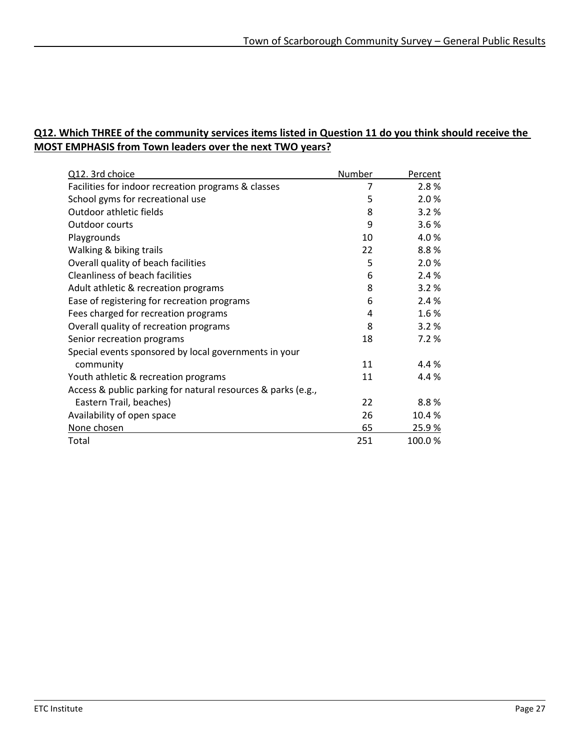#### **Q12. Which THREE of the community services items listed in Question 11 do you think should receive the MOST EMPHASIS from Town leaders over the next TWO years?**

| Q12. 3rd choice                                              | Number | Percent |
|--------------------------------------------------------------|--------|---------|
| Facilities for indoor recreation programs & classes          | 7      | 2.8%    |
| School gyms for recreational use                             | 5      | 2.0%    |
| Outdoor athletic fields                                      | 8      | 3.2%    |
| Outdoor courts                                               | 9      | 3.6%    |
| Playgrounds                                                  | 10     | 4.0%    |
| Walking & biking trails                                      | 22     | 8.8%    |
| Overall quality of beach facilities                          | 5      | 2.0%    |
| Cleanliness of beach facilities                              | 6      | 2.4 %   |
| Adult athletic & recreation programs                         | 8      | 3.2%    |
| Ease of registering for recreation programs                  | 6      | 2.4%    |
| Fees charged for recreation programs                         | 4      | 1.6%    |
| Overall quality of recreation programs                       | 8      | 3.2%    |
| Senior recreation programs                                   | 18     | 7.2%    |
| Special events sponsored by local governments in your        |        |         |
| community                                                    | 11     | 4.4 %   |
| Youth athletic & recreation programs                         | 11     | 4.4%    |
| Access & public parking for natural resources & parks (e.g., |        |         |
| Eastern Trail, beaches)                                      | 22     | 8.8%    |
| Availability of open space                                   | 26     | 10.4%   |
| None chosen                                                  | 65     | 25.9%   |
| Total                                                        | 251    | 100.0%  |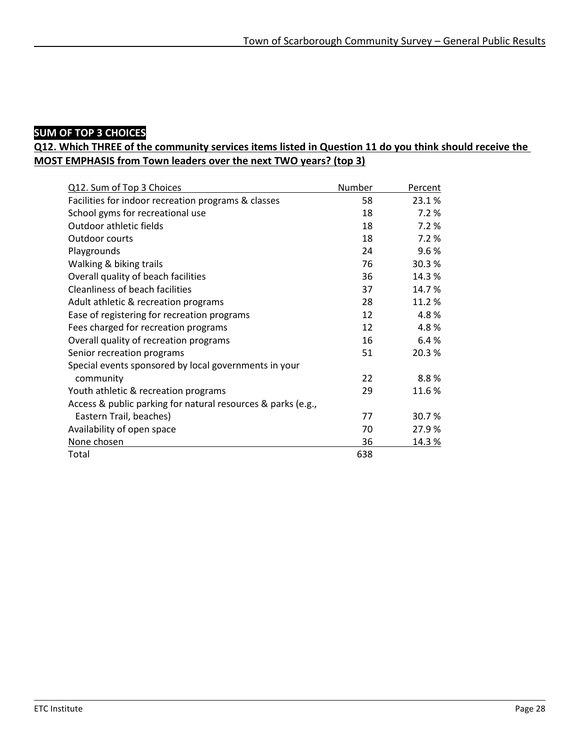### **SUM OF TOP 3 CHOICES**

#### **Q12. Which THREE of the community services items listed in Question 11 do you think should receive the MOST EMPHASIS from Town leaders over the next TWO years? (top 3)**

| Q12. Sum of Top 3 Choices                                    | Number | Percent |
|--------------------------------------------------------------|--------|---------|
| Facilities for indoor recreation programs & classes          | 58     | 23.1%   |
| School gyms for recreational use                             | 18     | 7.2%    |
| Outdoor athletic fields                                      | 18     | 7.2%    |
| Outdoor courts                                               | 18     | 7.2%    |
| Playgrounds                                                  | 24     | 9.6%    |
| Walking & biking trails                                      | 76     | 30.3%   |
| Overall quality of beach facilities                          | 36     | 14.3%   |
| Cleanliness of beach facilities                              | 37     | 14.7%   |
| Adult athletic & recreation programs                         | 28     | 11.2%   |
| Ease of registering for recreation programs                  | 12     | 4.8%    |
| Fees charged for recreation programs                         | 12     | 4.8%    |
| Overall quality of recreation programs                       | 16     | 6.4%    |
| Senior recreation programs                                   | 51     | 20.3%   |
| Special events sponsored by local governments in your        |        |         |
| community                                                    | 22     | 8.8%    |
| Youth athletic & recreation programs                         | 29     | 11.6%   |
| Access & public parking for natural resources & parks (e.g., |        |         |
| Eastern Trail, beaches)                                      | 77     | 30.7%   |
| Availability of open space                                   | 70     | 27.9%   |
| None chosen                                                  | 36     | 14.3%   |
| Total                                                        | 638    |         |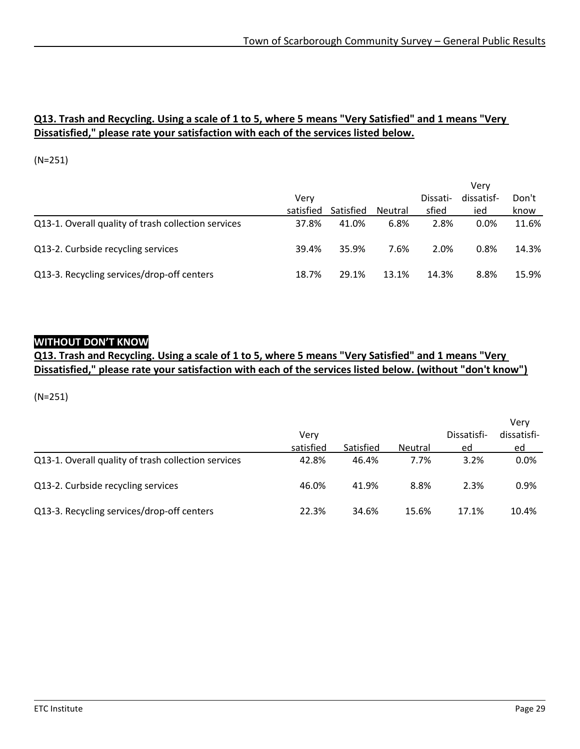#### **Q13. Trash and Recycling. Using a scale of 1 to 5, where 5 means "Very Satisfied" and 1 means "Very Dissatisfied," please rate your satisfaction with each of the services listed below.**

(N=251)

|                                                     |           |           |         |          | Verv       |       |
|-----------------------------------------------------|-----------|-----------|---------|----------|------------|-------|
|                                                     | Verv      |           |         | Dissati- | dissatisf- | Don't |
|                                                     | satisfied | Satisfied | Neutral | sfied    | ied        | know  |
| Q13-1. Overall quality of trash collection services | 37.8%     | 41.0%     | 6.8%    | 2.8%     | $0.0\%$    | 11.6% |
| Q13-2. Curbside recycling services                  | 39.4%     | 35.9%     | 7.6%    | 2.0%     | 0.8%       | 14.3% |
| Q13-3. Recycling services/drop-off centers          | 18.7%     | 29.1%     | 13.1%   | 14.3%    | 8.8%       | 15.9% |

#### **WITHOUT DON'T KNOW**

**Q13. Trash and Recycling. Using a scale of 1 to 5, where 5 means "Very Satisfied" and 1 means "Very Dissatisfied," please rate your satisfaction with each of the services listed below. (without "don't know")**

|                                                     |           |           |                |             | Verv        |
|-----------------------------------------------------|-----------|-----------|----------------|-------------|-------------|
|                                                     | Verv      |           |                | Dissatisfi- | dissatisfi- |
|                                                     | satisfied | Satisfied | <b>Neutral</b> | ed          | ed          |
| Q13-1. Overall quality of trash collection services | 42.8%     | 46.4%     | 7.7%           | 3.2%        | $0.0\%$     |
| Q13-2. Curbside recycling services                  | 46.0%     | 41.9%     | 8.8%           | 2.3%        | $0.9\%$     |
| Q13-3. Recycling services/drop-off centers          | 22.3%     | 34.6%     | 15.6%          | 17.1%       | 10.4%       |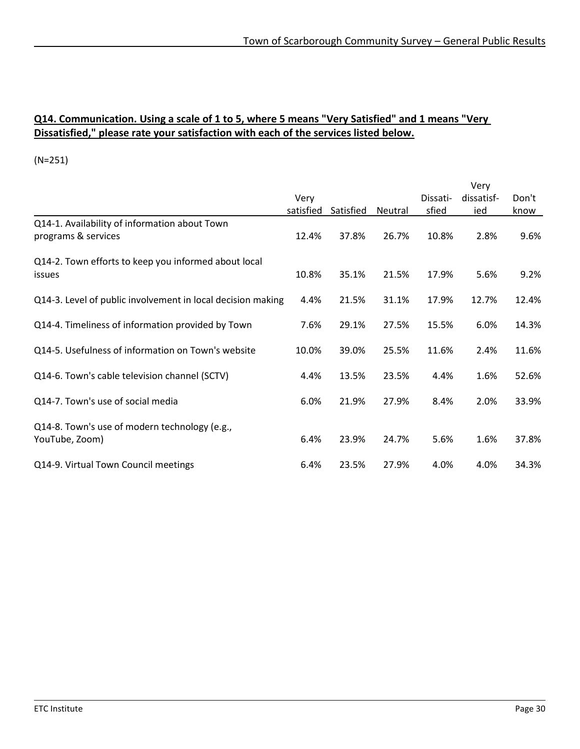#### **Q14. Communication. Using a scale of 1 to 5, where 5 means "Very Satisfied" and 1 means "Very Dissatisfied," please rate your satisfaction with each of the services listed below.**

|                                                                      |           |           |         |          | Very       |       |
|----------------------------------------------------------------------|-----------|-----------|---------|----------|------------|-------|
|                                                                      | Very      |           |         | Dissati- | dissatisf- | Don't |
|                                                                      | satisfied | Satisfied | Neutral | sfied    | ied        | know  |
| Q14-1. Availability of information about Town<br>programs & services | 12.4%     | 37.8%     | 26.7%   | 10.8%    | 2.8%       | 9.6%  |
| Q14-2. Town efforts to keep you informed about local<br>issues       | 10.8%     | 35.1%     | 21.5%   | 17.9%    | 5.6%       | 9.2%  |
| Q14-3. Level of public involvement in local decision making          | 4.4%      | 21.5%     | 31.1%   | 17.9%    | 12.7%      | 12.4% |
| Q14-4. Timeliness of information provided by Town                    | 7.6%      | 29.1%     | 27.5%   | 15.5%    | 6.0%       | 14.3% |
| Q14-5. Usefulness of information on Town's website                   | 10.0%     | 39.0%     | 25.5%   | 11.6%    | 2.4%       | 11.6% |
| Q14-6. Town's cable television channel (SCTV)                        | 4.4%      | 13.5%     | 23.5%   | 4.4%     | 1.6%       | 52.6% |
| Q14-7. Town's use of social media                                    | 6.0%      | 21.9%     | 27.9%   | 8.4%     | 2.0%       | 33.9% |
| Q14-8. Town's use of modern technology (e.g.,<br>YouTube, Zoom)      | 6.4%      | 23.9%     | 24.7%   | 5.6%     | 1.6%       | 37.8% |
| Q14-9. Virtual Town Council meetings                                 | 6.4%      | 23.5%     | 27.9%   | 4.0%     | 4.0%       | 34.3% |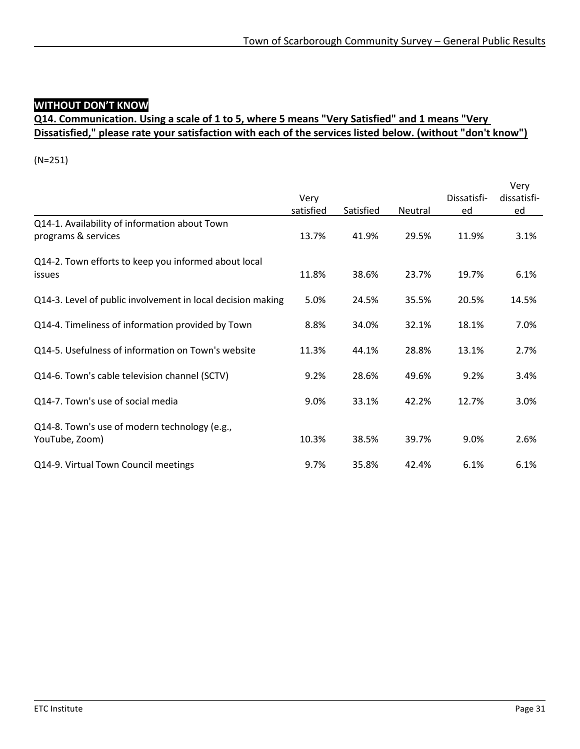## **WITHOUT DON'T KNOW**

### **Q14. Communication. Using a scale of 1 to 5, where 5 means "Very Satisfied" and 1 means "Very Dissatisfied," please rate your satisfaction with each of the services listed below. (without "don't know")**

|                                                             |           |           |         |             | Very        |
|-------------------------------------------------------------|-----------|-----------|---------|-------------|-------------|
|                                                             | Very      |           |         | Dissatisfi- | dissatisfi- |
|                                                             | satisfied | Satisfied | Neutral | ed          | ed          |
| Q14-1. Availability of information about Town               |           |           |         |             |             |
| programs & services                                         | 13.7%     | 41.9%     | 29.5%   | 11.9%       | 3.1%        |
| Q14-2. Town efforts to keep you informed about local        |           |           |         |             |             |
| issues                                                      | 11.8%     | 38.6%     | 23.7%   | 19.7%       | 6.1%        |
| Q14-3. Level of public involvement in local decision making | 5.0%      | 24.5%     | 35.5%   | 20.5%       | 14.5%       |
| Q14-4. Timeliness of information provided by Town           | 8.8%      | 34.0%     | 32.1%   | 18.1%       | 7.0%        |
| Q14-5. Usefulness of information on Town's website          | 11.3%     | 44.1%     | 28.8%   | 13.1%       | 2.7%        |
| Q14-6. Town's cable television channel (SCTV)               | 9.2%      | 28.6%     | 49.6%   | 9.2%        | 3.4%        |
| Q14-7. Town's use of social media                           | 9.0%      | 33.1%     | 42.2%   | 12.7%       | 3.0%        |
| Q14-8. Town's use of modern technology (e.g.,               |           |           |         |             |             |
| YouTube, Zoom)                                              | 10.3%     | 38.5%     | 39.7%   | 9.0%        | 2.6%        |
| Q14-9. Virtual Town Council meetings                        | 9.7%      | 35.8%     | 42.4%   | 6.1%        | 6.1%        |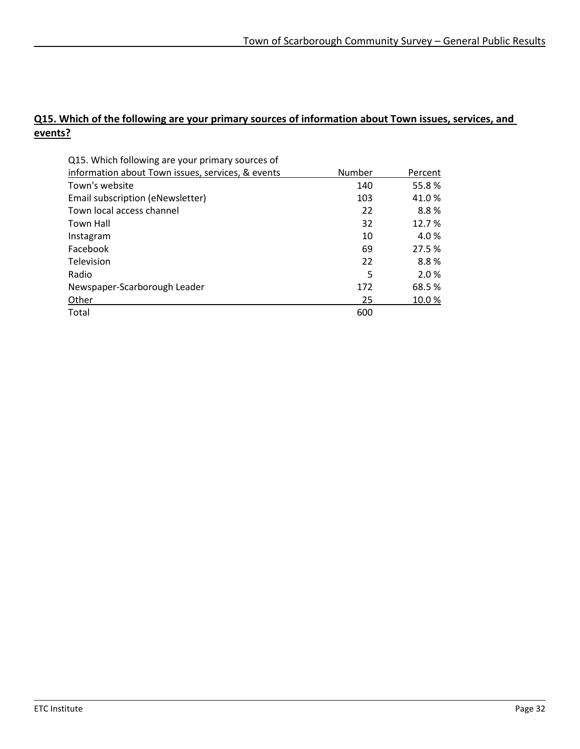### **Q15. Which of the following are your primary sources of information about Town issues, services, and events?**

| Q15. Which following are your primary sources of  |        |         |
|---------------------------------------------------|--------|---------|
| information about Town issues, services, & events | Number | Percent |
| Town's website                                    | 140    | 55.8%   |
| Email subscription (eNewsletter)                  | 103    | 41.0%   |
| Town local access channel                         | 22     | 8.8%    |
| Town Hall                                         | 32     | 12.7%   |
| Instagram                                         | 10     | 4.0%    |
| Facebook                                          | 69     | 27.5 %  |
| Television                                        | 22     | 8.8%    |
| Radio                                             | 5      | 2.0%    |
| Newspaper-Scarborough Leader                      | 172    | 68.5 %  |
| Other                                             | 25     | 10.0%   |
| Total                                             | 600    |         |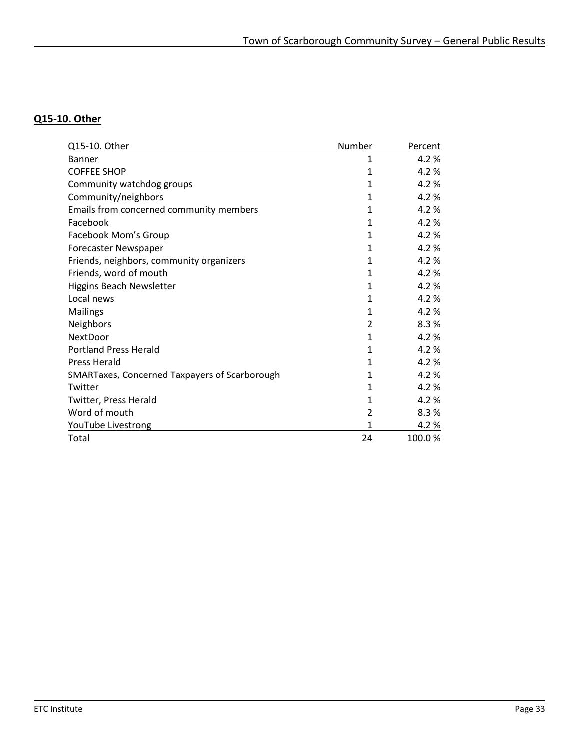### **Q15-10. Other**

| Q15-10. Other                                 | Number         | Percent |
|-----------------------------------------------|----------------|---------|
| Banner                                        | 1              | 4.2%    |
| <b>COFFEE SHOP</b>                            | 1              | 4.2%    |
| Community watchdog groups                     | 1              | 4.2%    |
| Community/neighbors                           | $\mathbf{1}$   | 4.2%    |
| Emails from concerned community members       | 1              | 4.2%    |
| Facebook                                      | 1              | 4.2%    |
| Facebook Mom's Group                          | $\mathbf{1}$   | 4.2%    |
| Forecaster Newspaper                          | 1              | 4.2%    |
| Friends, neighbors, community organizers      | 1              | 4.2%    |
| Friends, word of mouth                        | 1              | 4.2%    |
| Higgins Beach Newsletter                      | 1              | 4.2%    |
| Local news                                    | 1              | 4.2%    |
| Mailings                                      | 1              | 4.2%    |
| Neighbors                                     | $\overline{2}$ | 8.3%    |
| NextDoor                                      | 1              | 4.2%    |
| <b>Portland Press Herald</b>                  | 1              | 4.2%    |
| <b>Press Herald</b>                           | 1              | 4.2 %   |
| SMARTaxes, Concerned Taxpayers of Scarborough | 1              | 4.2%    |
| Twitter                                       | 1              | 4.2%    |
| Twitter, Press Herald                         | 1              | 4.2%    |
| Word of mouth                                 | $\overline{2}$ | 8.3%    |
| YouTube Livestrong                            | 1              | 4.2%    |
| Total                                         | 24             | 100.0%  |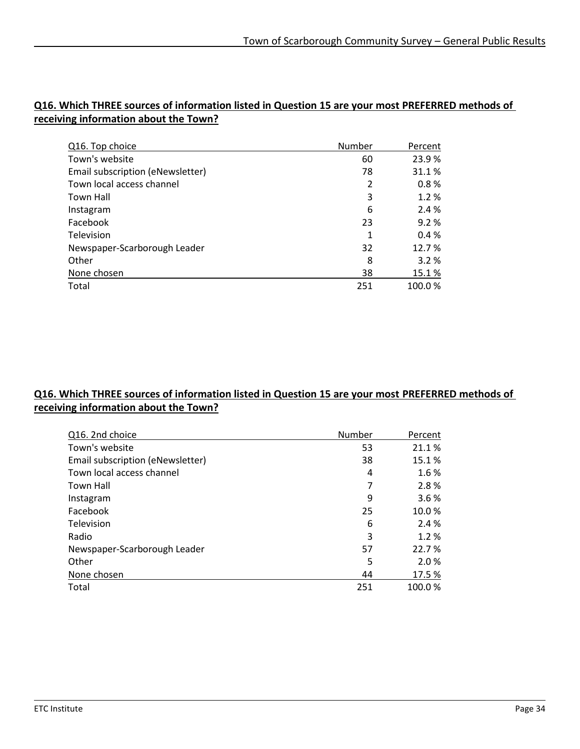| Q16. Top choice                  | Number | Percent |
|----------------------------------|--------|---------|
| Town's website                   | 60     | 23.9%   |
| Email subscription (eNewsletter) | 78     | 31.1%   |
| Town local access channel        | 2      | 0.8%    |
| Town Hall                        | 3      | 1.2%    |
| Instagram                        | 6      | 2.4 %   |
| Facebook                         | 23     | 9.2%    |
| Television                       | 1      | 0.4%    |
| Newspaper-Scarborough Leader     | 32     | 12.7%   |
| Other                            | 8      | 3.2%    |
| None chosen                      | 38     | 15.1%   |
| Total                            | 251    | 100.0%  |

#### **Q16. Which THREE sources of information listed in Question 15 are your most PREFERRED methods of receiving information about the Town?**

#### **Q16. Which THREE sources of information listed in Question 15 are your most PREFERRED methods of receiving information about the Town?**

| Q16. 2nd choice                  | Number | Percent |
|----------------------------------|--------|---------|
| Town's website                   | 53     | 21.1%   |
| Email subscription (eNewsletter) | 38     | 15.1%   |
| Town local access channel        | 4      | 1.6%    |
| <b>Town Hall</b>                 | 7      | 2.8%    |
| Instagram                        | 9      | 3.6%    |
| Facebook                         | 25     | 10.0%   |
| Television                       | 6      | 2.4 %   |
| Radio                            | 3      | 1.2%    |
| Newspaper-Scarborough Leader     | 57     | 22.7%   |
| Other                            | 5      | 2.0%    |
| None chosen                      | 44     | 17.5%   |
| Total                            | 251    | 100.0%  |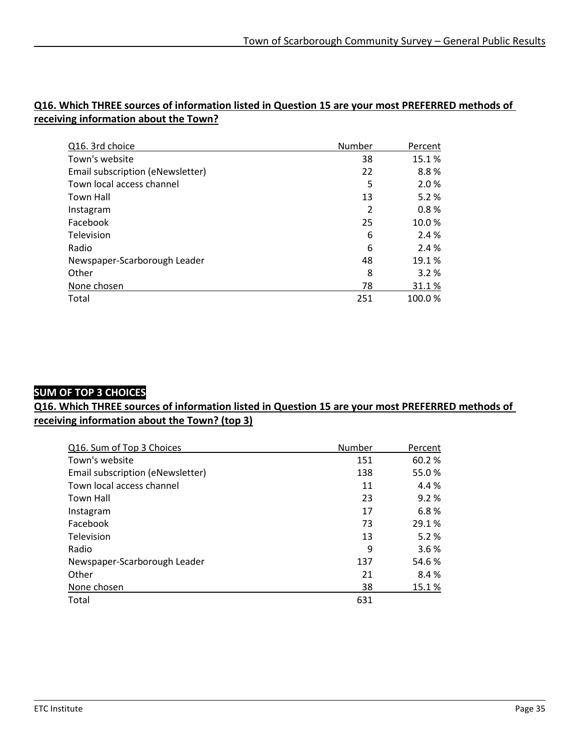| Q16. 3rd choice                  | Number         | Percent |
|----------------------------------|----------------|---------|
| Town's website                   | 38             | 15.1%   |
| Email subscription (eNewsletter) | 22             | 8.8%    |
| Town local access channel        | 5              | 2.0%    |
| Town Hall                        | 13             | 5.2%    |
| Instagram                        | $\overline{2}$ | 0.8%    |
| Facebook                         | 25             | 10.0%   |
| Television                       | 6              | 2.4%    |
| Radio                            | 6              | 2.4 %   |
| Newspaper-Scarborough Leader     | 48             | 19.1 %  |
| Other                            | 8              | 3.2%    |
| None chosen                      | 78             | 31.1%   |
| Total                            | 251            | 100.0%  |

#### **Q16. Which THREE sources of information listed in Question 15 are your most PREFERRED methods of receiving information about the Town?**

#### **SUM OF TOP 3 CHOICES**

**Q16. Which THREE sources of information listed in Question 15 are your most PREFERRED methods of receiving information about the Town? (top 3)**

| Q16. Sum of Top 3 Choices        | Number | Percent |
|----------------------------------|--------|---------|
| Town's website                   | 151    | 60.2 %  |
| Email subscription (eNewsletter) | 138    | 55.0%   |
| Town local access channel        | 11     | 4.4 %   |
| Town Hall                        | 23     | 9.2%    |
| Instagram                        | 17     | 6.8%    |
| Facebook                         | 73     | 29.1 %  |
| Television                       | 13     | 5.2%    |
| Radio                            | 9      | 3.6%    |
| Newspaper-Scarborough Leader     | 137    | 54.6 %  |
| Other                            | 21     | 8.4%    |
| None chosen                      | 38     | 15.1%   |
| Total                            | 631    |         |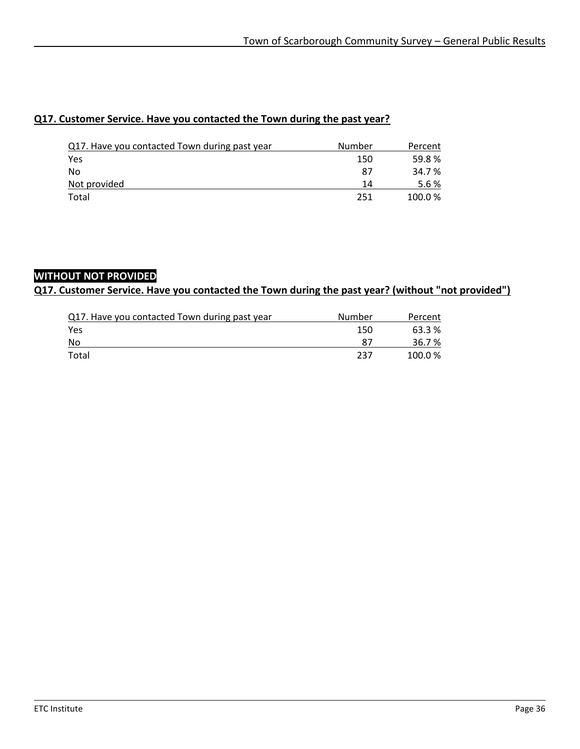#### **Q17. Customer Service. Have you contacted the Town during the past year?**

| Q17. Have you contacted Town during past year | Number | Percent |
|-----------------------------------------------|--------|---------|
| Yes                                           | 150    | 59.8%   |
| No                                            | 87     | 34.7 %  |
| Not provided                                  | 14     | 5.6%    |
| Total                                         | 251    | 100.0%  |

#### **WITHOUT NOT PROVIDED**

#### **Q17. Customer Service. Have you contacted the Town during the past year? (without "not provided")**

| Q17. Have you contacted Town during past year | Number | Percent |
|-----------------------------------------------|--------|---------|
| Yes                                           | 150    | 63.3 %  |
| No                                            |        | 36.7 %  |
| Total                                         | 237    | 100.0%  |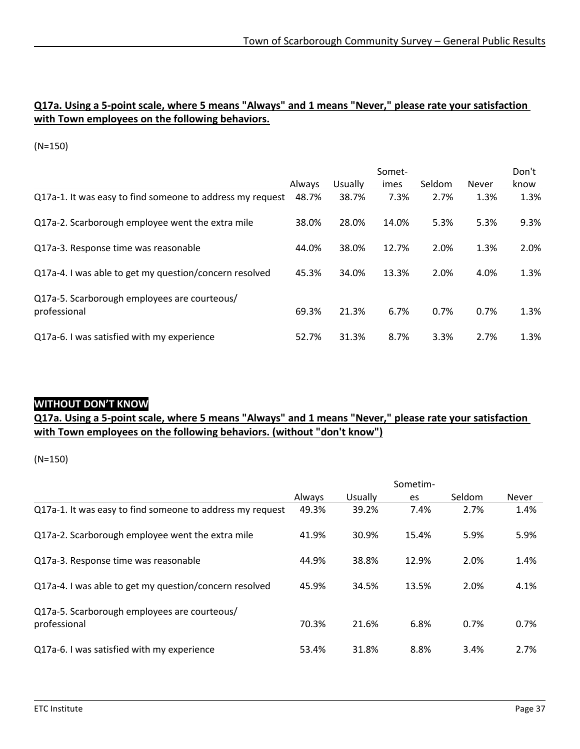#### **Q17a. Using a 5-point scale, where 5 means "Always" and 1 means "Never," please rate your satisfaction with Town employees on the following behaviors.**

(N=150)

|                                                              |        | Somet-  |       |        |              |      |
|--------------------------------------------------------------|--------|---------|-------|--------|--------------|------|
|                                                              | Always | Usually | imes  | Seldom | <b>Never</b> | know |
| Q17a-1. It was easy to find someone to address my request    | 48.7%  | 38.7%   | 7.3%  | 2.7%   | 1.3%         | 1.3% |
| Q17a-2. Scarborough employee went the extra mile             | 38.0%  | 28.0%   | 14.0% | 5.3%   | 5.3%         | 9.3% |
| Q17a-3. Response time was reasonable                         | 44.0%  | 38.0%   | 12.7% | 2.0%   | 1.3%         | 2.0% |
| Q17a-4. I was able to get my question/concern resolved       | 45.3%  | 34.0%   | 13.3% | 2.0%   | 4.0%         | 1.3% |
| Q17a-5. Scarborough employees are courteous/<br>professional | 69.3%  | 21.3%   | 6.7%  | 0.7%   | 0.7%         | 1.3% |
| Q17a-6. I was satisfied with my experience                   | 52.7%  | 31.3%   | 8.7%  | 3.3%   | 2.7%         | 1.3% |

### **WITHOUT DON'T KNOW**

### **Q17a. Using a 5-point scale, where 5 means "Always" and 1 means "Never," please rate your satisfaction with Town employees on the following behaviors. (without "don't know")**

(N=150)

|                                                           | Sometim- |         |       |        |              |
|-----------------------------------------------------------|----------|---------|-------|--------|--------------|
|                                                           | Always   | Usually | es    | Seldom | <b>Never</b> |
| Q17a-1. It was easy to find someone to address my request | 49.3%    | 39.2%   | 7.4%  | 2.7%   | 1.4%         |
| Q17a-2. Scarborough employee went the extra mile          | 41.9%    | 30.9%   | 15.4% | 5.9%   | 5.9%         |
| Q17a-3. Response time was reasonable                      | 44.9%    | 38.8%   | 12.9% | 2.0%   | 1.4%         |
| Q17a-4. I was able to get my question/concern resolved    | 45.9%    | 34.5%   | 13.5% | 2.0%   | 4.1%         |
| Q17a-5. Scarborough employees are courteous/              |          |         |       |        |              |
| professional                                              | 70.3%    | 21.6%   | 6.8%  | 0.7%   | 0.7%         |
| Q17a-6. I was satisfied with my experience                | 53.4%    | 31.8%   | 8.8%  | 3.4%   | 2.7%         |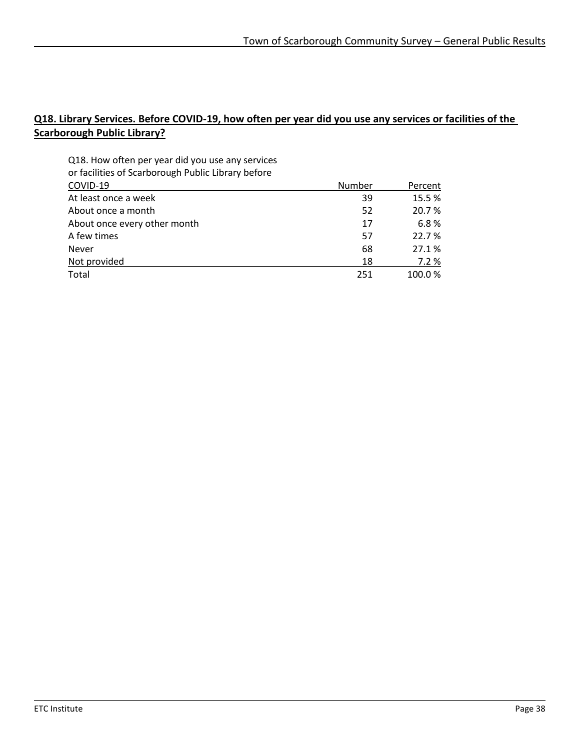### **Q18. Library Services. Before COVID-19, how often per year did you use any services or facilities of the Scarborough Public Library?**

| Q18. How often per year did you use any services   |        |         |
|----------------------------------------------------|--------|---------|
| or facilities of Scarborough Public Library before |        |         |
| COVID-19                                           | Number | Percent |
| At least once a week                               | 39     | 15.5%   |
| About once a month                                 | 52     | 20.7 %  |
| About once every other month                       | 17     | 6.8%    |
| A few times                                        | 57     | 22.7 %  |
| <b>Never</b>                                       | 68     | 27.1%   |
| Not provided                                       | 18     | 7.2%    |
| Total                                              | 251    | 100.0%  |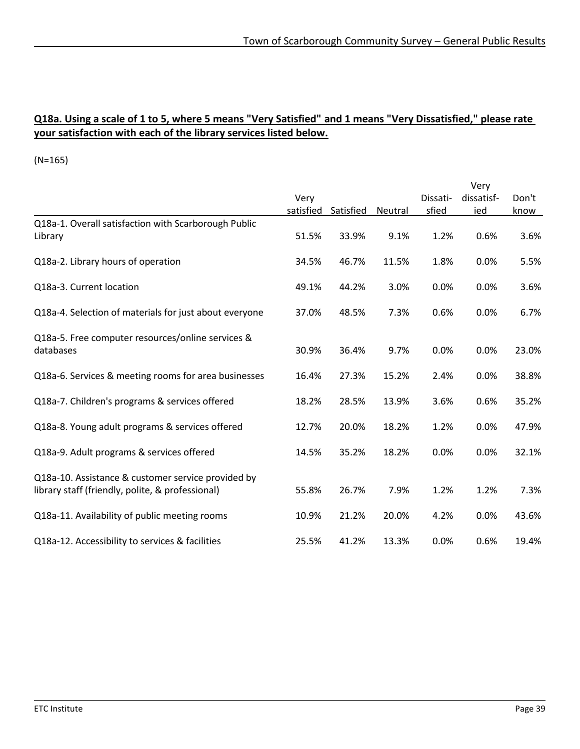#### **Q18a. Using a scale of 1 to 5, where 5 means "Very Satisfied" and 1 means "Very Dissatisfied," please rate your satisfaction with each of the library services listed below.**

(N=165)

|                                                        |           |           |         |          | Very       |       |
|--------------------------------------------------------|-----------|-----------|---------|----------|------------|-------|
|                                                        | Very      |           |         | Dissati- | dissatisf- | Don't |
|                                                        | satisfied | Satisfied | Neutral | sfied    | ied        | know  |
| Q18a-1. Overall satisfaction with Scarborough Public   |           |           |         |          |            |       |
| Library                                                | 51.5%     | 33.9%     | 9.1%    | 1.2%     | 0.6%       | 3.6%  |
|                                                        |           |           |         |          |            |       |
| Q18a-2. Library hours of operation                     | 34.5%     | 46.7%     | 11.5%   | 1.8%     | 0.0%       | 5.5%  |
|                                                        |           |           |         |          |            |       |
| Q18a-3. Current location                               | 49.1%     | 44.2%     | 3.0%    | 0.0%     | 0.0%       | 3.6%  |
|                                                        |           |           |         |          |            |       |
| Q18a-4. Selection of materials for just about everyone | 37.0%     | 48.5%     | 7.3%    | 0.6%     | 0.0%       | 6.7%  |
|                                                        |           |           |         |          |            |       |
| Q18a-5. Free computer resources/online services &      |           |           |         |          |            |       |
| databases                                              | 30.9%     | 36.4%     | 9.7%    | 0.0%     | 0.0%       | 23.0% |
|                                                        |           |           |         |          |            |       |
| Q18a-6. Services & meeting rooms for area businesses   | 16.4%     | 27.3%     | 15.2%   | 2.4%     | 0.0%       | 38.8% |
|                                                        |           |           |         |          |            |       |
| Q18a-7. Children's programs & services offered         | 18.2%     | 28.5%     | 13.9%   | 3.6%     | 0.6%       | 35.2% |
|                                                        |           |           |         |          |            |       |
| Q18a-8. Young adult programs & services offered        | 12.7%     | 20.0%     | 18.2%   | 1.2%     | 0.0%       | 47.9% |
|                                                        |           |           |         |          |            |       |
| Q18a-9. Adult programs & services offered              | 14.5%     | 35.2%     | 18.2%   | 0.0%     | 0.0%       | 32.1% |
|                                                        |           |           |         |          |            |       |
| Q18a-10. Assistance & customer service provided by     |           |           |         |          |            |       |
| library staff (friendly, polite, & professional)       | 55.8%     | 26.7%     | 7.9%    | 1.2%     | 1.2%       | 7.3%  |
|                                                        |           |           |         |          |            |       |
| Q18a-11. Availability of public meeting rooms          | 10.9%     | 21.2%     | 20.0%   | 4.2%     | 0.0%       | 43.6% |
| Q18a-12. Accessibility to services & facilities        | 25.5%     | 41.2%     | 13.3%   | 0.0%     | 0.6%       | 19.4% |
|                                                        |           |           |         |          |            |       |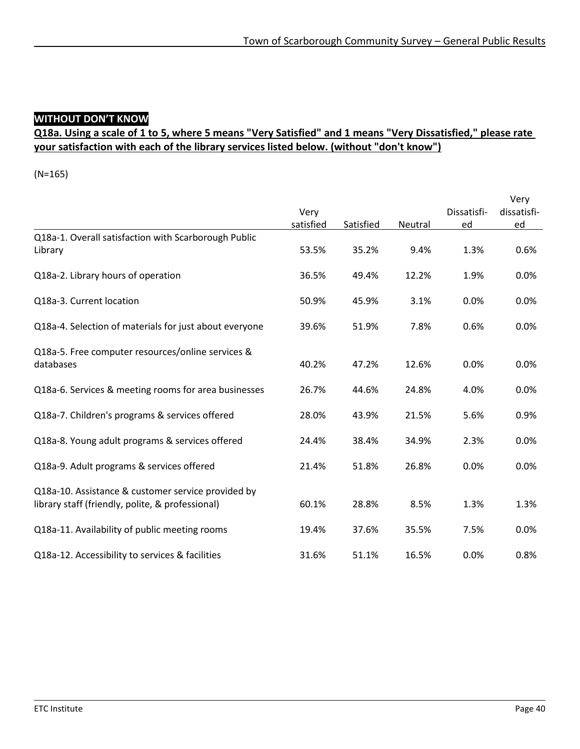### **WITHOUT DON'T KNOW**

### **Q18a. Using a scale of 1 to 5, where 5 means "Very Satisfied" and 1 means "Very Dissatisfied," please rate your satisfaction with each of the library services listed below. (without "don't know")**

(N=165)

|                                                                                                        |           |           |         |             | Very        |
|--------------------------------------------------------------------------------------------------------|-----------|-----------|---------|-------------|-------------|
|                                                                                                        | Very      |           |         | Dissatisfi- | dissatisfi- |
|                                                                                                        | satisfied | Satisfied | Neutral | ed          | ed          |
| Q18a-1. Overall satisfaction with Scarborough Public<br>Library                                        | 53.5%     | 35.2%     | 9.4%    | 1.3%        | 0.6%        |
| Q18a-2. Library hours of operation                                                                     | 36.5%     | 49.4%     | 12.2%   | 1.9%        | 0.0%        |
| Q18a-3. Current location                                                                               | 50.9%     | 45.9%     | 3.1%    | 0.0%        | 0.0%        |
| Q18a-4. Selection of materials for just about everyone                                                 | 39.6%     | 51.9%     | 7.8%    | 0.6%        | 0.0%        |
| Q18a-5. Free computer resources/online services &<br>databases                                         | 40.2%     | 47.2%     | 12.6%   | 0.0%        | 0.0%        |
| Q18a-6. Services & meeting rooms for area businesses                                                   | 26.7%     | 44.6%     | 24.8%   | 4.0%        | 0.0%        |
| Q18a-7. Children's programs & services offered                                                         | 28.0%     | 43.9%     | 21.5%   | 5.6%        | 0.9%        |
| Q18a-8. Young adult programs & services offered                                                        | 24.4%     | 38.4%     | 34.9%   | 2.3%        | 0.0%        |
| Q18a-9. Adult programs & services offered                                                              | 21.4%     | 51.8%     | 26.8%   | 0.0%        | 0.0%        |
| Q18a-10. Assistance & customer service provided by<br>library staff (friendly, polite, & professional) | 60.1%     | 28.8%     | 8.5%    | 1.3%        | 1.3%        |
| Q18a-11. Availability of public meeting rooms                                                          | 19.4%     | 37.6%     | 35.5%   | 7.5%        | 0.0%        |
| Q18a-12. Accessibility to services & facilities                                                        | 31.6%     | 51.1%     | 16.5%   | 0.0%        | 0.8%        |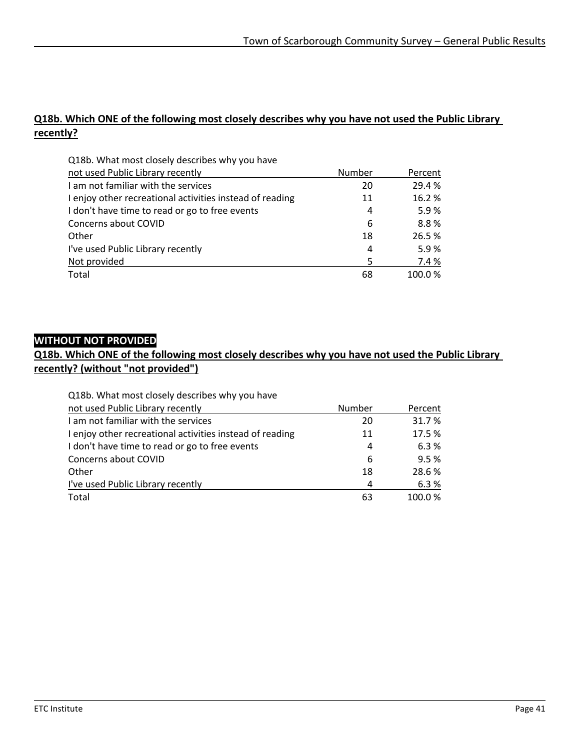#### **Q18b. Which ONE of the following most closely describes why you have not used the Public Library recently?**

| Q18b. What most closely describes why you have           |        |         |
|----------------------------------------------------------|--------|---------|
| not used Public Library recently                         | Number | Percent |
| I am not familiar with the services                      | 20     | 29.4 %  |
| I enjoy other recreational activities instead of reading | 11     | 16.2%   |
| I don't have time to read or go to free events           | 4      | 5.9%    |
| Concerns about COVID                                     | 6      | 8.8%    |
| Other                                                    | 18     | 26.5%   |
| I've used Public Library recently                        | 4      | 5.9%    |
| Not provided                                             | 5      | 7.4 %   |
| Total                                                    | 68     | 100.0%  |

### **WITHOUT NOT PROVIDED**

#### **Q18b. Which ONE of the following most closely describes why you have not used the Public Library recently? (without "not provided")**

| Q18b. What most closely describes why you have           |        |         |
|----------------------------------------------------------|--------|---------|
| not used Public Library recently                         | Number | Percent |
| I am not familiar with the services                      | 20     | 31.7%   |
| I enjoy other recreational activities instead of reading | 11     | 17.5 %  |
| I don't have time to read or go to free events           | 4      | 6.3%    |
| Concerns about COVID                                     | 6      | 9.5%    |
| Other                                                    | 18     | 28.6%   |
| I've used Public Library recently                        | 4      | 6.3%    |
| Total                                                    | 63     | 100.0%  |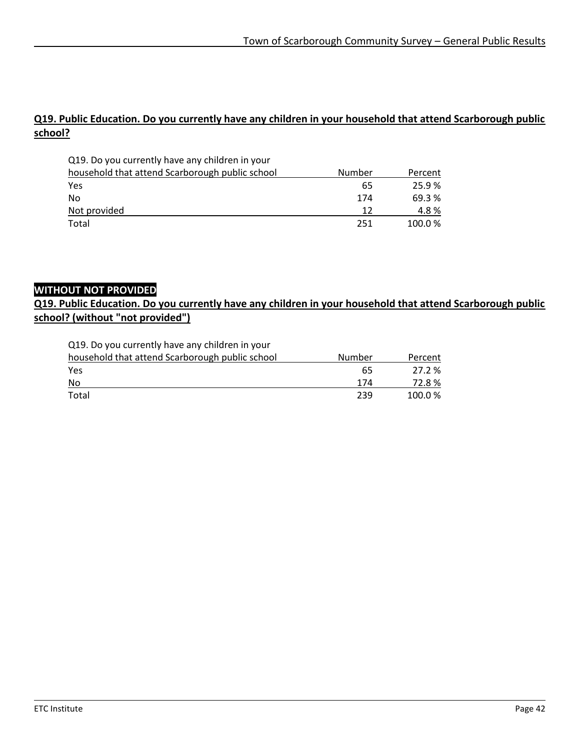#### **Q19. Public Education. Do you currently have any children in your household that attend Scarborough public school?**

| Q19. Do you currently have any children in your |        |         |
|-------------------------------------------------|--------|---------|
| household that attend Scarborough public school | Number | Percent |
| Yes                                             | 65     | 25.9%   |
| No                                              | 174    | 69.3 %  |
| Not provided                                    | 12     | 4.8%    |
| Total                                           | 251    | 100.0%  |

#### **WITHOUT NOT PROVIDED**

#### **Q19. Public Education. Do you currently have any children in your household that attend Scarborough public school? (without "not provided")**

Q19. Do you currently have any children in your

| household that attend Scarborough public school | Number | Percent |
|-------------------------------------------------|--------|---------|
| Yes                                             | 65     | 27.2 %  |
| No                                              | 174    | 72.8%   |
| Total                                           | 239    | 100.0%  |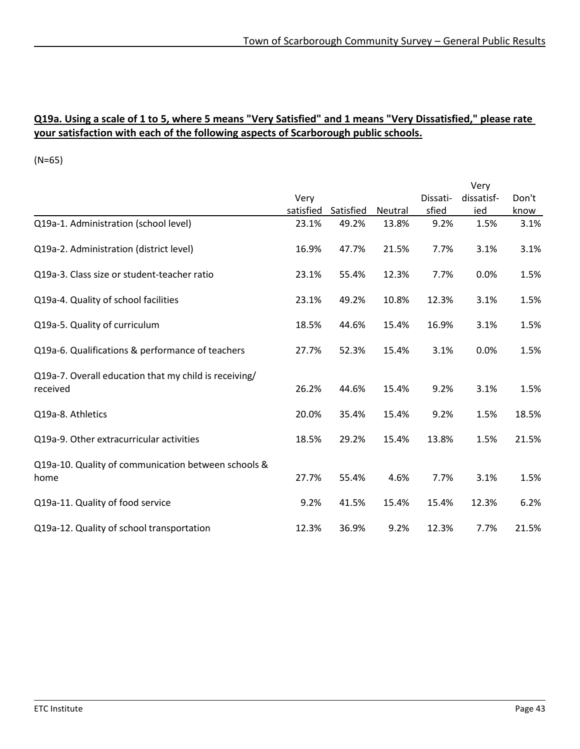#### **Q19a. Using a scale of 1 to 5, where 5 means "Very Satisfied" and 1 means "Very Dissatisfied," please rate your satisfaction with each of the following aspects of Scarborough public schools.**

(N=65)

|                                                       |           |           |         |          | Very       |       |
|-------------------------------------------------------|-----------|-----------|---------|----------|------------|-------|
|                                                       | Very      |           |         | Dissati- | dissatisf- | Don't |
|                                                       | satisfied | Satisfied | Neutral | sfied    | ied        | know  |
| Q19a-1. Administration (school level)                 | 23.1%     | 49.2%     | 13.8%   | 9.2%     | 1.5%       | 3.1%  |
| Q19a-2. Administration (district level)               | 16.9%     | 47.7%     | 21.5%   | 7.7%     | 3.1%       | 3.1%  |
| Q19a-3. Class size or student-teacher ratio           | 23.1%     | 55.4%     | 12.3%   | 7.7%     | 0.0%       | 1.5%  |
| Q19a-4. Quality of school facilities                  | 23.1%     | 49.2%     | 10.8%   | 12.3%    | 3.1%       | 1.5%  |
| Q19a-5. Quality of curriculum                         | 18.5%     | 44.6%     | 15.4%   | 16.9%    | 3.1%       | 1.5%  |
| Q19a-6. Qualifications & performance of teachers      | 27.7%     | 52.3%     | 15.4%   | 3.1%     | 0.0%       | 1.5%  |
| Q19a-7. Overall education that my child is receiving/ |           |           |         |          |            |       |
| received                                              | 26.2%     | 44.6%     | 15.4%   | 9.2%     | 3.1%       | 1.5%  |
| Q19a-8. Athletics                                     | 20.0%     | 35.4%     | 15.4%   | 9.2%     | 1.5%       | 18.5% |
| Q19a-9. Other extracurricular activities              | 18.5%     | 29.2%     | 15.4%   | 13.8%    | 1.5%       | 21.5% |
| Q19a-10. Quality of communication between schools &   |           |           |         |          |            |       |
| home                                                  | 27.7%     | 55.4%     | 4.6%    | 7.7%     | 3.1%       | 1.5%  |
| Q19a-11. Quality of food service                      | 9.2%      | 41.5%     | 15.4%   | 15.4%    | 12.3%      | 6.2%  |
| Q19a-12. Quality of school transportation             | 12.3%     | 36.9%     | 9.2%    | 12.3%    | 7.7%       | 21.5% |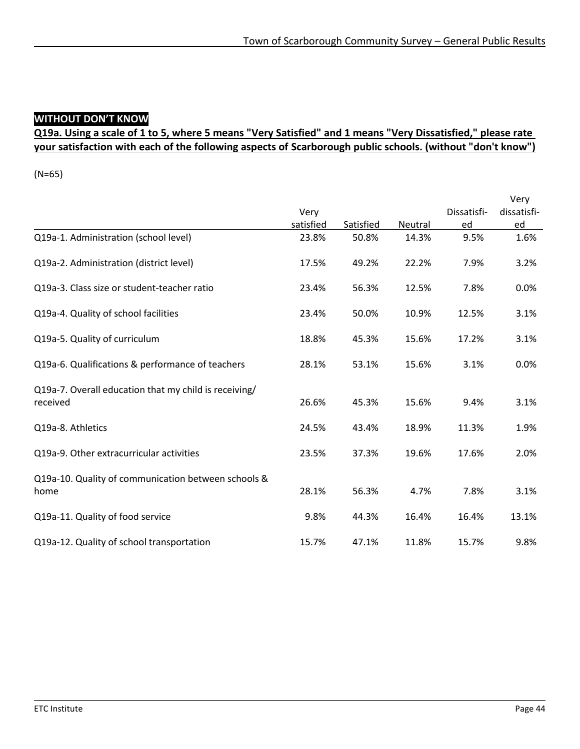# **WITHOUT DON'T KNOW**

### **Q19a. Using a scale of 1 to 5, where 5 means "Very Satisfied" and 1 means "Very Dissatisfied," please rate your satisfaction with each of the following aspects of Scarborough public schools. (without "don't know")**

(N=65)

|                                                       |           |           |         |             | Very        |
|-------------------------------------------------------|-----------|-----------|---------|-------------|-------------|
|                                                       | Very      |           |         | Dissatisfi- | dissatisfi- |
|                                                       | satisfied | Satisfied | Neutral | ed          | ed          |
| Q19a-1. Administration (school level)                 | 23.8%     | 50.8%     | 14.3%   | 9.5%        | 1.6%        |
| Q19a-2. Administration (district level)               | 17.5%     | 49.2%     | 22.2%   | 7.9%        | 3.2%        |
| Q19a-3. Class size or student-teacher ratio           | 23.4%     | 56.3%     | 12.5%   | 7.8%        | 0.0%        |
| Q19a-4. Quality of school facilities                  | 23.4%     | 50.0%     | 10.9%   | 12.5%       | 3.1%        |
| Q19a-5. Quality of curriculum                         | 18.8%     | 45.3%     | 15.6%   | 17.2%       | 3.1%        |
| Q19a-6. Qualifications & performance of teachers      | 28.1%     | 53.1%     | 15.6%   | 3.1%        | 0.0%        |
| Q19a-7. Overall education that my child is receiving/ |           |           |         |             |             |
| received                                              | 26.6%     | 45.3%     | 15.6%   | 9.4%        | 3.1%        |
| Q19a-8. Athletics                                     | 24.5%     | 43.4%     | 18.9%   | 11.3%       | 1.9%        |
| Q19a-9. Other extracurricular activities              | 23.5%     | 37.3%     | 19.6%   | 17.6%       | 2.0%        |
| Q19a-10. Quality of communication between schools &   |           |           |         |             |             |
| home                                                  | 28.1%     | 56.3%     | 4.7%    | 7.8%        | 3.1%        |
| Q19a-11. Quality of food service                      | 9.8%      | 44.3%     | 16.4%   | 16.4%       | 13.1%       |
| Q19a-12. Quality of school transportation             | 15.7%     | 47.1%     | 11.8%   | 15.7%       | 9.8%        |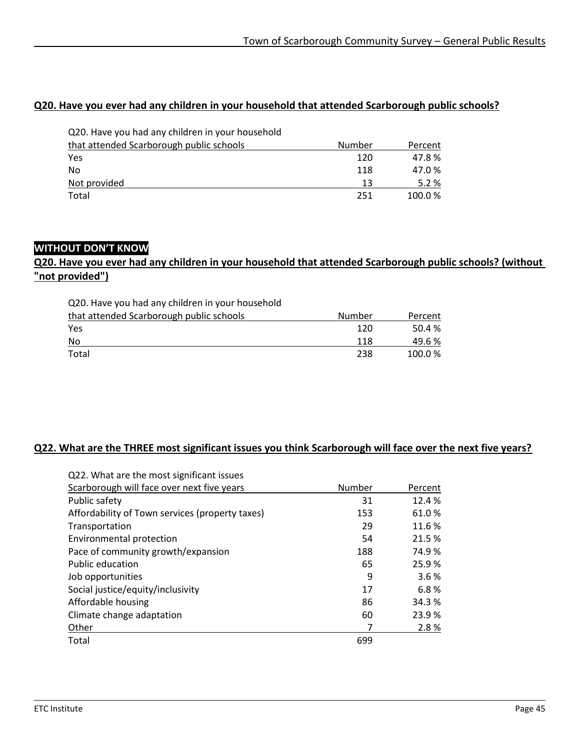#### **Q20. Have you ever had any children in your household that attended Scarborough public schools?**

| Q20. Have you had any children in your household |        |         |
|--------------------------------------------------|--------|---------|
| that attended Scarborough public schools         | Number | Percent |
| Yes                                              | 120    | 47.8%   |
| No                                               | 118    | 47.0%   |
| Not provided                                     | 13     | 5.2%    |
| Total                                            | 251    | 100.0%  |

#### **WITHOUT DON'T KNOW**

#### **Q20. Have you ever had any children in your household that attended Scarborough public schools? (without "not provided")**

| Q20. Have you had any children in your household |        |         |
|--------------------------------------------------|--------|---------|
| that attended Scarborough public schools         | Number | Percent |
| Yes                                              | 120    | 50.4%   |
| No                                               | 118    | 49.6 %  |
| Total                                            | 238    | 100.0%  |

#### **Q22. What are the THREE most significant issues you think Scarborough will face over the next five years?**

| Q22. What are the most significant issues       |        |         |
|-------------------------------------------------|--------|---------|
| Scarborough will face over next five years      | Number | Percent |
| Public safety                                   | 31     | 12.4 %  |
| Affordability of Town services (property taxes) | 153    | 61.0%   |
| Transportation                                  | 29     | 11.6 %  |
| Environmental protection                        | 54     | 21.5 %  |
| Pace of community growth/expansion              | 188    | 74.9%   |
| Public education                                | 65     | 25.9%   |
| Job opportunities                               | 9      | 3.6%    |
| Social justice/equity/inclusivity               | 17     | 6.8%    |
| Affordable housing                              | 86     | 34.3 %  |
| Climate change adaptation                       | 60     | 23.9%   |
| Other                                           | 7      | 2.8%    |
| Total                                           | 699    |         |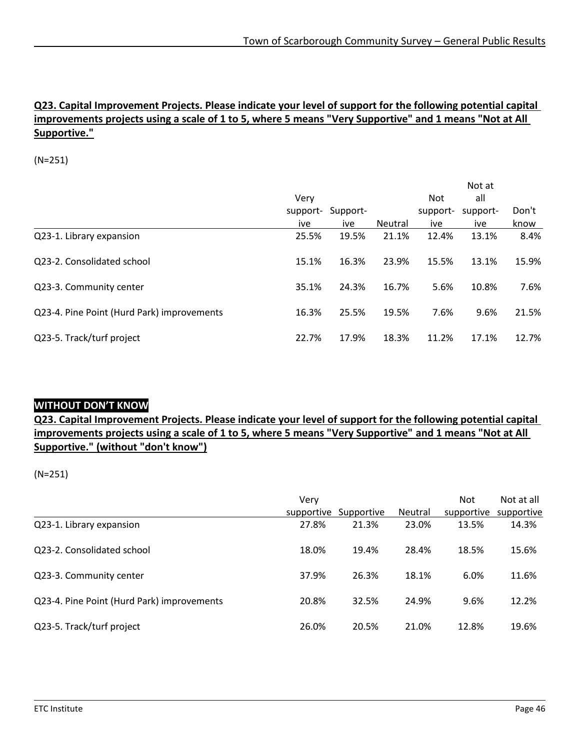#### **Q23. Capital Improvement Projects. Please indicate your level of support for the following potential capital improvements projects using a scale of 1 to 5, where 5 means "Very Supportive" and 1 means "Not at All Supportive."**

(N=251)

|                                            |          |          |                |            | Not at   |       |
|--------------------------------------------|----------|----------|----------------|------------|----------|-------|
|                                            | Very     |          |                | <b>Not</b> | all      |       |
|                                            | support- | Support- |                | support-   | support- | Don't |
|                                            | ive      | ive      | <b>Neutral</b> | ive        | ive      | know  |
| Q23-1. Library expansion                   | 25.5%    | 19.5%    | 21.1%          | 12.4%      | 13.1%    | 8.4%  |
| Q23-2. Consolidated school                 | 15.1%    | 16.3%    | 23.9%          | 15.5%      | 13.1%    | 15.9% |
| Q23-3. Community center                    | 35.1%    | 24.3%    | 16.7%          | 5.6%       | 10.8%    | 7.6%  |
| Q23-4. Pine Point (Hurd Park) improvements | 16.3%    | 25.5%    | 19.5%          | 7.6%       | 9.6%     | 21.5% |
| Q23-5. Track/turf project                  | 22.7%    | 17.9%    | 18.3%          | 11.2%      | 17.1%    | 12.7% |

#### **WITHOUT DON'T KNOW**

**Q23. Capital Improvement Projects. Please indicate your level of support for the following potential capital improvements projects using a scale of 1 to 5, where 5 means "Very Supportive" and 1 means "Not at All Supportive." (without "don't know")**

|                                            | Very       |            |                | <b>Not</b> | Not at all |
|--------------------------------------------|------------|------------|----------------|------------|------------|
|                                            | supportive | Supportive | <b>Neutral</b> | supportive | supportive |
| Q23-1. Library expansion                   | 27.8%      | 21.3%      | 23.0%          | 13.5%      | 14.3%      |
| Q23-2. Consolidated school                 | 18.0%      | 19.4%      | 28.4%          | 18.5%      | 15.6%      |
| Q23-3. Community center                    | 37.9%      | 26.3%      | 18.1%          | 6.0%       | 11.6%      |
| Q23-4. Pine Point (Hurd Park) improvements | 20.8%      | 32.5%      | 24.9%          | 9.6%       | 12.2%      |
| Q23-5. Track/turf project                  | 26.0%      | 20.5%      | 21.0%          | 12.8%      | 19.6%      |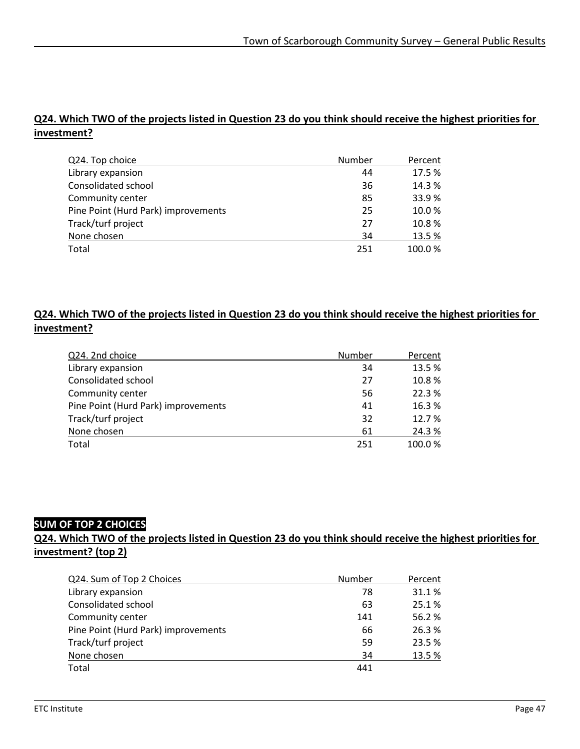### **Q24. Which TWO of the projects listed in Question 23 do you think should receive the highest priorities for investment?**

| Q24. Top choice                     | Number | Percent |
|-------------------------------------|--------|---------|
| Library expansion                   | 44     | 17.5%   |
| Consolidated school                 | 36     | 14.3 %  |
| Community center                    | 85     | 33.9%   |
| Pine Point (Hurd Park) improvements | 25     | 10.0%   |
| Track/turf project                  | 27     | 10.8%   |
| None chosen                         | 34     | 13.5%   |
| Total                               | 251    | 100.0%  |

#### **Q24. Which TWO of the projects listed in Question 23 do you think should receive the highest priorities for investment?**

| Q24. 2nd choice                     | Number | Percent |
|-------------------------------------|--------|---------|
| Library expansion                   | 34     | 13.5%   |
| Consolidated school                 | 27     | 10.8%   |
| Community center                    | 56     | 22.3%   |
| Pine Point (Hurd Park) improvements | 41     | 16.3%   |
| Track/turf project                  | 32     | 12.7 %  |
| None chosen                         | 61     | 24.3%   |
| Total                               | 251    | 100.0%  |

#### **SUM OF TOP 2 CHOICES**

#### **Q24. Which TWO of the projects listed in Question 23 do you think should receive the highest priorities for investment? (top 2)**

| Number | Percent |
|--------|---------|
| 78     | 31.1%   |
| 63     | 25.1%   |
| 141    | 56.2%   |
| 66     | 26.3%   |
| 59     | 23.5 %  |
| 34     | 13.5%   |
| 441    |         |
|        |         |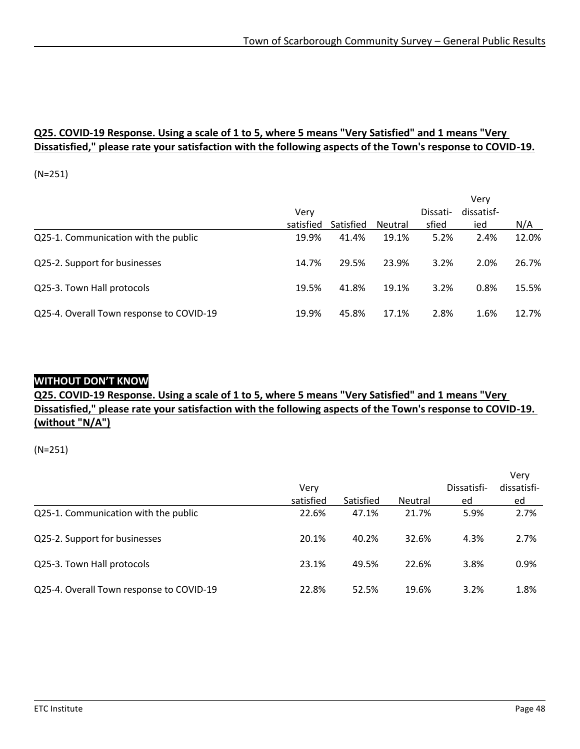#### **Q25. COVID-19 Response. Using a scale of 1 to 5, where 5 means "Very Satisfied" and 1 means "Very Dissatisfied," please rate your satisfaction with the following aspects of the Town's response to COVID-19.**

(N=251)

|                                          |           |           |         |          | Verv       |       |
|------------------------------------------|-----------|-----------|---------|----------|------------|-------|
|                                          | Verv      |           |         | Dissati- | dissatisf- |       |
|                                          | satisfied | Satisfied | Neutral | sfied    | ied        | N/A   |
| Q25-1. Communication with the public     | 19.9%     | 41.4%     | 19.1%   | 5.2%     | 2.4%       | 12.0% |
| Q25-2. Support for businesses            | 14.7%     | 29.5%     | 23.9%   | 3.2%     | 2.0%       | 26.7% |
| Q25-3. Town Hall protocols               | 19.5%     | 41.8%     | 19.1%   | 3.2%     | 0.8%       | 15.5% |
| Q25-4. Overall Town response to COVID-19 | 19.9%     | 45.8%     | 17.1%   | 2.8%     | 1.6%       | 12.7% |

#### **WITHOUT DON'T KNOW**

### **Q25. COVID-19 Response. Using a scale of 1 to 5, where 5 means "Very Satisfied" and 1 means "Very Dissatisfied," please rate your satisfaction with the following aspects of the Town's response to COVID-19. (without "N/A")**

|                                          |                   |           |         |                   | Verv              |
|------------------------------------------|-------------------|-----------|---------|-------------------|-------------------|
|                                          | Very<br>satisfied | Satisfied | Neutral | Dissatisfi-<br>ed | dissatisfi-<br>ed |
| Q25-1. Communication with the public     | 22.6%             | 47.1%     | 21.7%   | 5.9%              | 2.7%              |
| Q25-2. Support for businesses            | 20.1%             | 40.2%     | 32.6%   | 4.3%              | 2.7%              |
| Q25-3. Town Hall protocols               | 23.1%             | 49.5%     | 22.6%   | 3.8%              | 0.9%              |
| Q25-4. Overall Town response to COVID-19 | 22.8%             | 52.5%     | 19.6%   | 3.2%              | 1.8%              |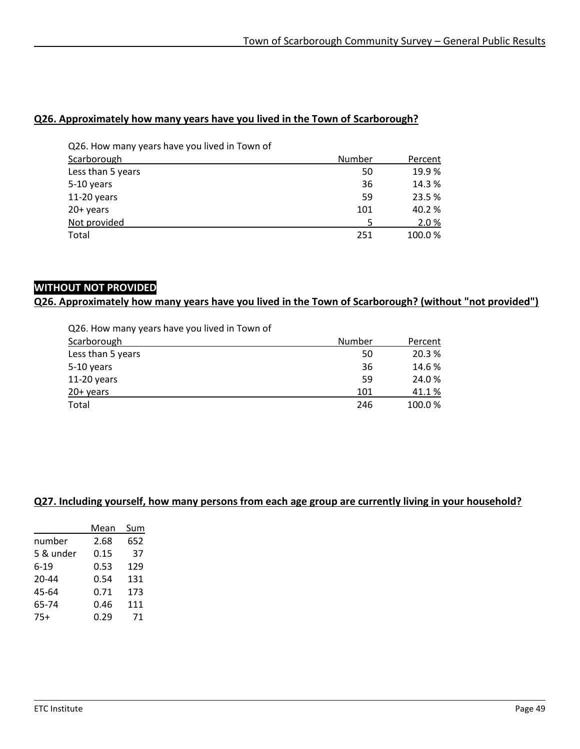#### **Q26. Approximately how many years have you lived in the Town of Scarborough?**

| Q26. How many years have you lived in Town of |        |         |
|-----------------------------------------------|--------|---------|
| Scarborough                                   | Number | Percent |
| Less than 5 years                             | 50     | 19.9%   |
| 5-10 years                                    | 36     | 14.3 %  |
| $11-20$ years                                 | 59     | 23.5%   |
| 20+ years                                     | 101    | 40.2 %  |
| Not provided                                  |        | 2.0%    |
| Total                                         | 251    | 100.0%  |

# **WITHOUT NOT PROVIDED**

**Q26. Approximately how many years have you lived in the Town of Scarborough? (without "not provided")**

Q26. How many years have you lived in Town of

| Scarborough       | Number | Percent |
|-------------------|--------|---------|
| Less than 5 years | 50     | 20.3 %  |
| 5-10 years        | 36     | 14.6 %  |
| $11-20$ years     | 59     | 24.0%   |
| $20+$ years       | 101    | 41.1%   |
| Total             | 246    | 100.0%  |

#### **Q27. Including yourself, how many persons from each age group are currently living in your household?**

|           | Mean | Sum |
|-----------|------|-----|
| number    | 2.68 | 652 |
| 5 & under | 0.15 | 37  |
| $6 - 19$  | 0.53 | 129 |
| 20-44     | 0.54 | 131 |
| 45-64     | 0.71 | 173 |
| 65-74     | 0.46 | 111 |
| $75+$     | 0.29 | 71  |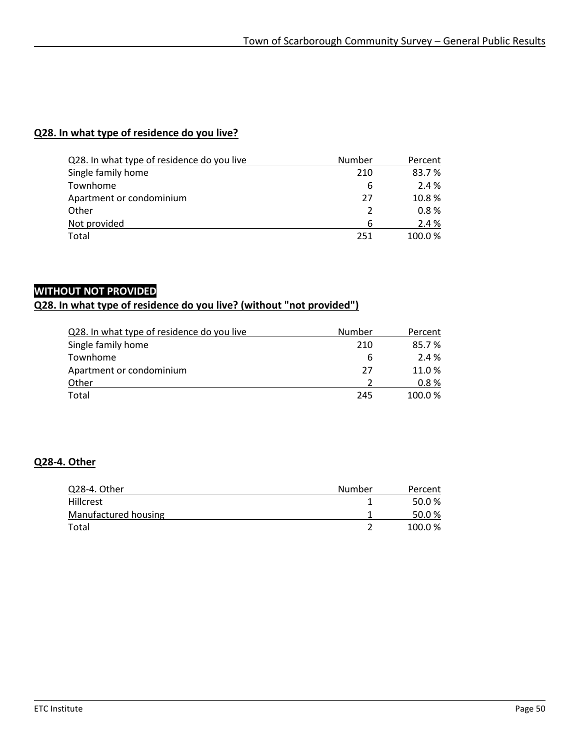#### **Q28. In what type of residence do you live?**

| Q28. In what type of residence do you live | Number        | Percent |
|--------------------------------------------|---------------|---------|
| Single family home                         | 210           | 83.7%   |
| Townhome                                   | 6             | 2.4 %   |
| Apartment or condominium                   | 27            | 10.8%   |
| Other                                      | $\mathcal{L}$ | 0.8%    |
| Not provided                               | 6             | 2.4 %   |
| Total                                      | 251           | 100.0%  |

### **WITHOUT NOT PROVIDED**

# **Q28. In what type of residence do you live? (without "not provided")**

| Q28. In what type of residence do you live | Number | Percent |
|--------------------------------------------|--------|---------|
| Single family home                         | 210    | 85.7%   |
| Townhome                                   | b      | 2.4 %   |
| Apartment or condominium                   | 27     | 11.0%   |
| Other                                      |        | 0.8%    |
| Total                                      | 245    | 100.0%  |

#### **Q28-4. Other**

| Q28-4. Other         | Number | Percent |
|----------------------|--------|---------|
| <b>Hillcrest</b>     |        | 50.0%   |
| Manufactured housing |        | 50.0%   |
| Total                |        | 100.0%  |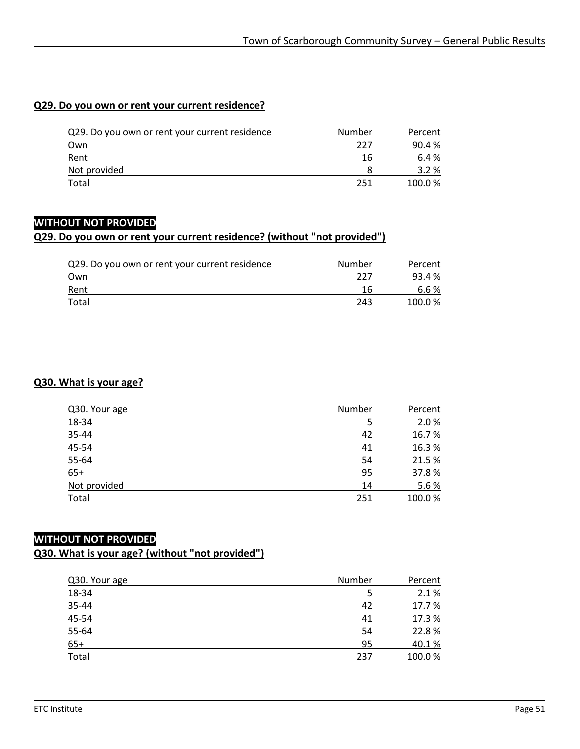#### **Q29. Do you own or rent your current residence?**

| Q29. Do you own or rent your current residence | Number | Percent |
|------------------------------------------------|--------|---------|
| Own                                            | 227    | 90.4%   |
| Rent                                           | 16     | 6.4 %   |
| Not provided                                   |        | $3.2\%$ |
| Total                                          | 251    | 100.0%  |

#### **WITHOUT NOT PROVIDED**

#### **Q29. Do you own or rent your current residence? (without "not provided")**

| Q29. Do you own or rent your current residence | Number | Percent |
|------------------------------------------------|--------|---------|
| Own                                            | 227    | 93.4 %  |
| Rent                                           | 16     | 6.6 %   |
| Total                                          | 243    | 100.0%  |

#### **Q30. What is your age?**

| Q30. Your age | Number | Percent |
|---------------|--------|---------|
| 18-34         | 5      | 2.0%    |
| 35-44         | 42     | 16.7%   |
| 45-54         | 41     | 16.3%   |
| 55-64         | 54     | 21.5 %  |
| $65+$         | 95     | 37.8%   |
| Not provided  | 14     | 5.6%    |
| Total         | 251    | 100.0%  |

#### **WITHOUT NOT PROVIDED Q30. What is your age? (without "not provided")**

| Q30. Your age | Number | Percent |
|---------------|--------|---------|
| 18-34         | 5      | 2.1%    |
| 35-44         | 42     | 17.7 %  |
| 45-54         | 41     | 17.3 %  |
| 55-64         | 54     | 22.8%   |
| $65+$         | 95     | 40.1%   |
| Total         | 237    | 100.0%  |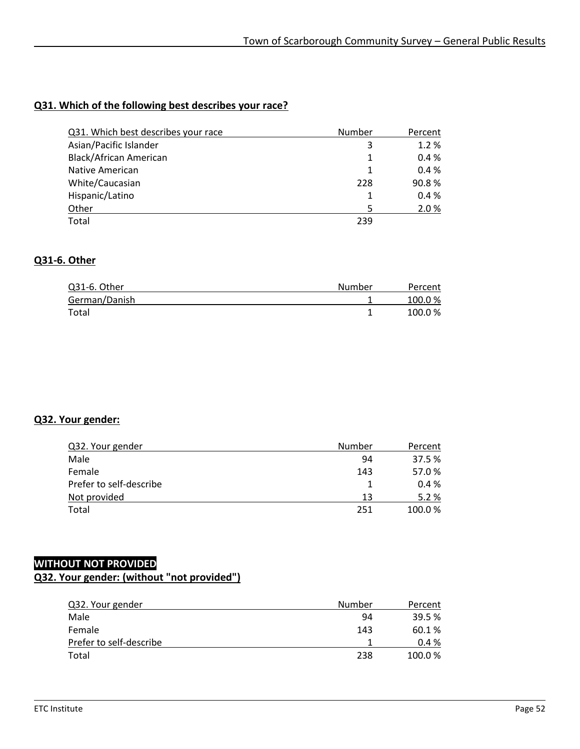#### **Q31. Which of the following best describes your race?**

| Q31. Which best describes your race | Number | Percent |
|-------------------------------------|--------|---------|
| Asian/Pacific Islander              | 3      | 1.2%    |
| Black/African American              | 1      | 0.4%    |
| Native American                     | 1      | 0.4%    |
| White/Caucasian                     | 228    | 90.8%   |
| Hispanic/Latino                     | 1      | 0.4%    |
| Other                               |        | 2.0%    |
| Total                               | 239    |         |

#### **Q31-6. Other**

| Q31-6. Other  | Number | Percent |
|---------------|--------|---------|
| German/Danish |        | 100.0%  |
| Total         |        | 100.0%  |

#### **Q32. Your gender:**

| Q32. Your gender        | Number | Percent |
|-------------------------|--------|---------|
| Male                    | 94     | 37.5 %  |
| Female                  | 143    | 57.0%   |
| Prefer to self-describe |        | 0.4%    |
| Not provided            | 13     | 5.2%    |
| Total                   | 251    | 100.0%  |

# **WITHOUT NOT PROVIDED**

### **Q32. Your gender: (without "not provided")**

| Q32. Your gender        | Number | Percent  |
|-------------------------|--------|----------|
| Male                    | 94     | 39.5 %   |
| Female                  | 143    | 60.1%    |
| Prefer to self-describe |        | $0.4 \%$ |
| Total                   | 238    | 100.0%   |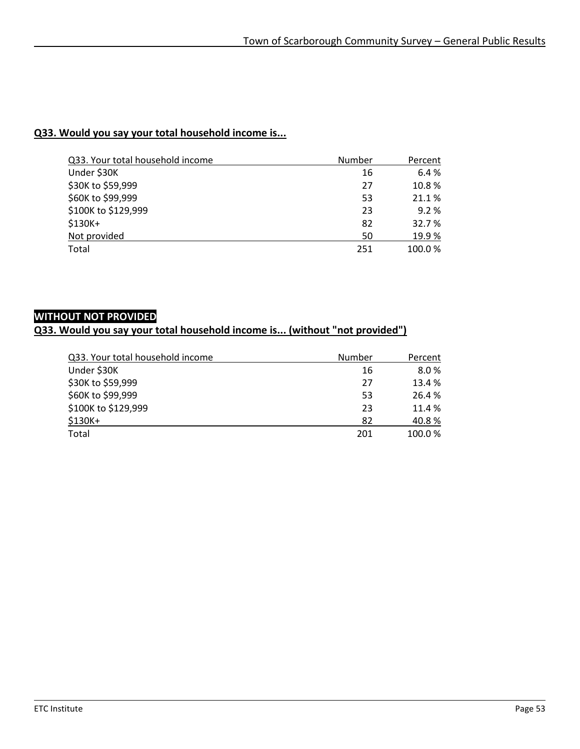#### **Q33. Would you say your total household income is...**

| Q33. Your total household income | Number | Percent |
|----------------------------------|--------|---------|
| Under \$30K                      | 16     | 6.4%    |
| \$30K to \$59,999                | 27     | 10.8%   |
| \$60K to \$99,999                | 53     | 21.1%   |
| \$100K to \$129,999              | 23     | 9.2%    |
| \$130K+                          | 82     | 32.7 %  |
| Not provided                     | 50     | 19.9%   |
| Total                            | 251    | 100.0%  |

# **WITHOUT NOT PROVIDED**

### **Q33. Would you say your total household income is... (without "not provided")**

| Q33. Your total household income | Number | Percent |
|----------------------------------|--------|---------|
| Under \$30K                      | 16     | 8.0%    |
| \$30K to \$59,999                | 27     | 13.4 %  |
| \$60K to \$99,999                | 53     | 26.4 %  |
| \$100K to \$129,999              | 23     | 11.4 %  |
| $$130K+$                         | 82     | 40.8%   |
| Total                            | 201    | 100.0%  |